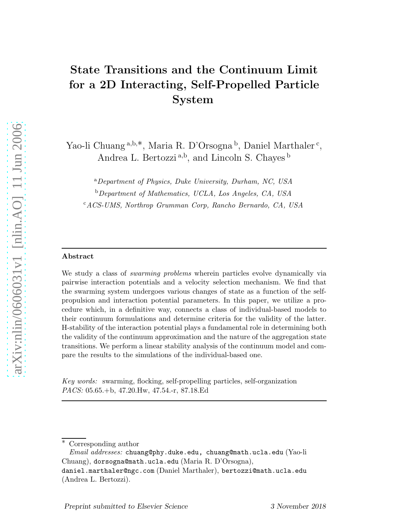# State Transitions and the Continuum Limit for a 2D Interacting, Self-Propelled Particle System

Yao-li Chuang<sup>a,b,\*</sup>, Maria R. D'Orsogna<sup>b</sup>, Daniel Marthaler<sup>c</sup>, Andrea L. Bertozzi<sup>a,b</sup>, and Lincoln S. Chayes<sup>b</sup>

<sup>a</sup>Department of Physics, Duke University, Durham, NC, USA

<sup>b</sup>Department of Mathematics, UCLA, Los Angeles, CA, USA

<sup>c</sup>ACS-UMS, Northrop Grumman Corp, Rancho Bernardo, CA, USA

#### Abstract

We study a class of *swarming problems* wherein particles evolve dynamically via pairwise interaction potentials and a velocity selection mechanism. We find that the swarming system undergoes various changes of state as a function of the selfpropulsion and interaction potential parameters. In this paper, we utilize a procedure which, in a definitive way, connects a class of individual-based models to their continuum formulations and determine criteria for the validity of the latter. H-stability of the interaction potential plays a fundamental role in determining both the validity of the continuum approximation and the nature of the aggregation state transitions. We perform a linear stability analysis of the continuum model and compare the results to the simulations of the individual-based one.

Key words: swarming, flocking, self-propelling particles, self-organization PACS: 05.65.+b, 47.20.Hw, 47.54.-r, 87.18.Ed

Corresponding author

 $Email \; addresses: \; \text{chuang@phy.duke.edu, \; \text{chuang@math.ucla.edu (Yao-li}$ Chuang), dorsogna@math.ucla.edu (Maria R. D'Orsogna), daniel.marthaler@ngc.com (Daniel Marthaler), bertozzi@math.ucla.edu

<sup>(</sup>Andrea L. Bertozzi).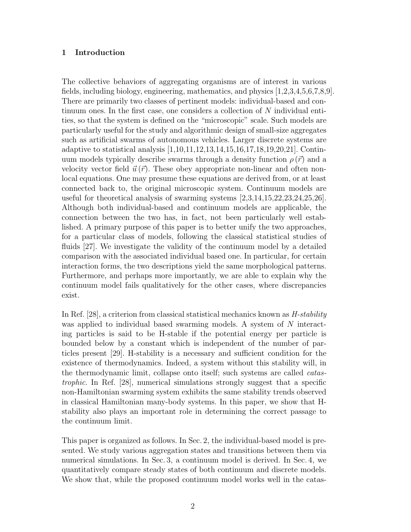## 1 Introduction

The collective behaviors of aggregating organisms are of interest in various fields, including biology, engineering, mathematics, and physics [1,2,3,4,5,6,7,8,9]. There are primarily two classes of pertinent models: individual-based and continuum ones. In the first case, one considers a collection of N individual entities, so that the system is defined on the "microscopic" scale. Such models are particularly useful for the study and algorithmic design of small-size aggregates such as artificial swarms of autonomous vehicles. Larger discrete systems are adaptive to statistical analysis [1,10,11,12,13,14,15,16,17,18,19,20,21]. Continuum models typically describe swarms through a density function  $\rho(\vec{r})$  and a velocity vector field  $\vec{u}(\vec{r})$ . These obey appropriate non-linear and often nonlocal equations. One may presume these equations are derived from, or at least connected back to, the original microscopic system. Continuum models are useful for theoretical analysis of swarming systems [2,3,14,15,22,23,24,25,26]. Although both individual-based and continuum models are applicable, the connection between the two has, in fact, not been particularly well established. A primary purpose of this paper is to better unify the two approaches, for a particular class of models, following the classical statistical studies of fluids [27]. We investigate the validity of the continuum model by a detailed comparison with the associated individual based one. In particular, for certain interaction forms, the two descriptions yield the same morphological patterns. Furthermore, and perhaps more importantly, we are able to explain why the continuum model fails qualitatively for the other cases, where discrepancies exist.

In Ref.  $[28]$ , a criterion from classical statistical mechanics known as  $H$ -stability was applied to individual based swarming models. A system of N interacting particles is said to be H-stable if the potential energy per particle is bounded below by a constant which is independent of the number of particles present [29]. H-stability is a necessary and sufficient condition for the existence of thermodynamics. Indeed, a system without this stability will, in the thermodynamic limit, collapse onto itself; such systems are called catastrophic. In Ref. [28], numerical simulations strongly suggest that a specific non-Hamiltonian swarming system exhibits the same stability trends observed in classical Hamiltonian many-body systems. In this paper, we show that Hstability also plays an important role in determining the correct passage to the continuum limit.

This paper is organized as follows. In Sec. 2, the individual-based model is presented. We study various aggregation states and transitions between them via numerical simulations. In Sec. 3, a continuum model is derived. In Sec. 4, we quantitatively compare steady states of both continuum and discrete models. We show that, while the proposed continuum model works well in the catas-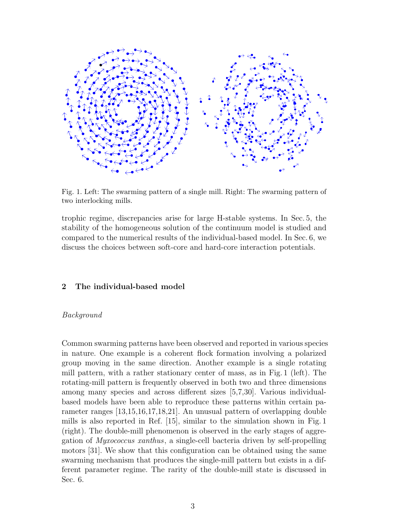

Fig. 1. Left: The swarming pattern of a single mill. Right: The swarming pattern of two interlocking mills.

trophic regime, discrepancies arise for large H-stable systems. In Sec. 5, the stability of the homogeneous solution of the continuum model is studied and compared to the numerical results of the individual-based model. In Sec. 6, we discuss the choices between soft-core and hard-core interaction potentials.

# 2 The individual-based model

# Background

Common swarming patterns have been observed and reported in various species in nature. One example is a coherent flock formation involving a polarized group moving in the same direction. Another example is a single rotating mill pattern, with a rather stationary center of mass, as in Fig. 1 (left). The rotating-mill pattern is frequently observed in both two and three dimensions among many species and across different sizes [5,7,30]. Various individualbased models have been able to reproduce these patterns within certain parameter ranges [13,15,16,17,18,21]. An unusual pattern of overlapping double mills is also reported in Ref. [15], similar to the simulation shown in Fig. 1 (right). The double-mill phenomenon is observed in the early stages of aggregation of Myxococcus xanthus, a single-cell bacteria driven by self-propelling motors [31]. We show that this configuration can be obtained using the same swarming mechanism that produces the single-mill pattern but exists in a different parameter regime. The rarity of the double-mill state is discussed in Sec. 6.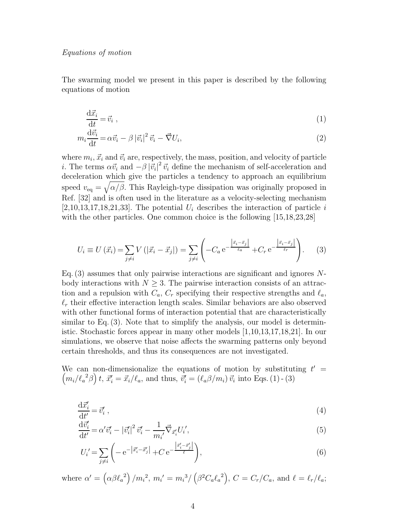#### Equations of motion

The swarming model we present in this paper is described by the following equations of motion

$$
\frac{\mathrm{d}\vec{x}_i}{\mathrm{d}t} = \vec{v}_i \tag{1}
$$

$$
m_i \frac{\mathrm{d}\vec{v}_i}{\mathrm{d}t} = \alpha \vec{v}_i - \beta |\vec{v}_i|^2 \vec{v}_i - \vec{\nabla} U_i,\tag{2}
$$

where  $m_i, \vec{x}_i$  and  $\vec{v}_i$  are, respectively, the mass, position, and velocity of particle *i*. The terms  $\alpha \vec{v}_i$  and  $-\beta |\vec{v}_i|^2 \vec{v}_i$  define the mechanism of self-acceleration and deceleration which give the particles a tendency to approach an equilibrium speed  $v_{\text{eq}} = \sqrt{\alpha/\beta}$ . This Rayleigh-type dissipation was originally proposed in Ref. [32] and is often used in the literature as a velocity-selecting mechanism  $[2,10,13,17,18,21,33]$ . The potential  $U_i$  describes the interaction of particle i with the other particles. One common choice is the following  $[15,18,23,28]$ 

$$
U_i \equiv U(\vec{x}_i) = \sum_{j \neq i} V(|\vec{x}_i - \vec{x}_j|) = \sum_{j \neq i} \left( -C_a e^{-\frac{|\vec{x}_i - \vec{x}_j|}{\ell_a}} + C_r e^{-\frac{|\vec{x}_i - \vec{x}_j|}{\ell_r}} \right).
$$
 (3)

Eq.  $(3)$  assumes that only pairwise interactions are significant and ignores Nbody interactions with  $N \geq 3$ . The pairwise interaction consists of an attraction and a repulsion with  $C_a$ ,  $C_r$  specifying their respective strengths and  $\ell_a$ ,  $\ell_r$  their effective interaction length scales. Similar behaviors are also observed with other functional forms of interaction potential that are characteristically similar to Eq. (3). Note that to simplify the analysis, our model is deterministic. Stochastic forces appear in many other models [1,10,13,17,18,21]. In our simulations, we observe that noise affects the swarming patterns only beyond certain thresholds, and thus its consequences are not investigated.

We can non-dimensionalize the equations of motion by substituting  $t' =$  $\left(m_i/\ell_a^2\beta\right)t$ ,  $\vec{x}'_i = \vec{x}_i/\ell_a$ , and thus,  $\vec{v}'_i = \left(\ell_a\beta/m_i\right)\vec{v}_i$  into Eqs. (1) - (3)

$$
\frac{\mathrm{d}\vec{x_i'}}{\mathrm{d}t'} = \vec{v_i'},\tag{4}
$$

$$
\frac{\mathrm{d}\vec{v_i'}}{\mathrm{d}t'} = \alpha' \vec{v_i'} - |\vec{v_i'}|^2 \vec{v_i'} - \frac{1}{m_{i'}} \vec{\nabla}_{\vec{x_i'}} U_i',\tag{5}
$$

$$
U_i' = \sum_{j \neq i} \left( -e^{-\left| \vec{x}'_i - \vec{x}'_j \right|} + Ce^{-\frac{\left| \vec{x}'_i - \vec{x}'_j \right|}{\ell}} \right),\tag{6}
$$

where  $\alpha' = (\alpha \beta \ell_a^2) / m_i^2$ ,  $m_i' = m_i^3 / (\beta^2 C_a \ell_a^2)$ ,  $C = C_r / C_a$ , and  $\ell = \ell_r / \ell_a$ ;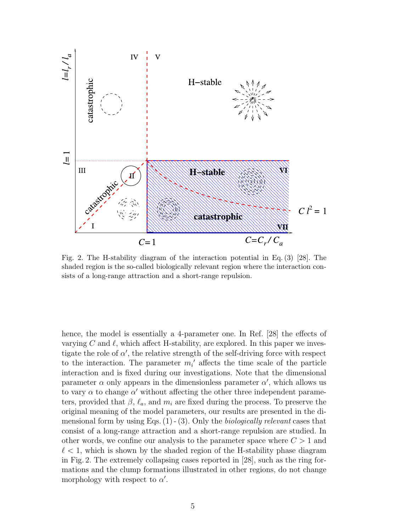

Fig. 2. The H-stability diagram of the interaction potential in Eq. (3) [28]. The shaded region is the so-called biologically relevant region where the interaction consists of a long-range attraction and a short-range repulsion.

hence, the model is essentially a 4-parameter one. In Ref. [28] the effects of varying C and  $\ell$ , which affect H-stability, are explored. In this paper we investigate the role of  $\alpha'$ , the relative strength of the self-driving force with respect to the interaction. The parameter  $m_i'$  affects the time scale of the particle interaction and is fixed during our investigations. Note that the dimensional parameter  $\alpha$  only appears in the dimensionless parameter  $\alpha'$ , which allows us to vary  $\alpha$  to change  $\alpha'$  without affecting the other three independent parameters, provided that  $\beta$ ,  $\ell_a$ , and  $m_i$  are fixed during the process. To preserve the original meaning of the model parameters, our results are presented in the dimensional form by using Eqs.  $(1)$  -  $(3)$ . Only the *biologically relevant* cases that consist of a long-range attraction and a short-range repulsion are studied. In other words, we confine our analysis to the parameter space where  $C > 1$  and  $\ell$  < 1, which is shown by the shaded region of the H-stability phase diagram in Fig. 2. The extremely collapsing cases reported in [28], such as the ring formations and the clump formations illustrated in other regions, do not change morphology with respect to  $\alpha'$ .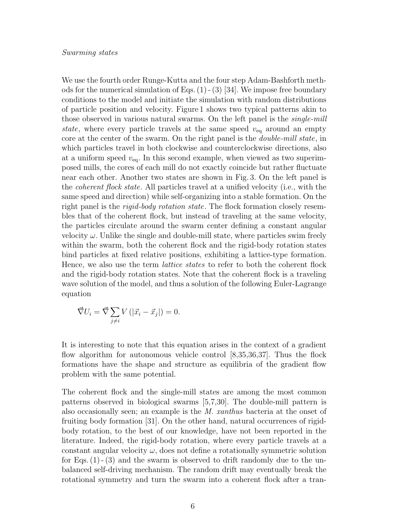#### Swarming states

We use the fourth order Runge-Kutta and the four step Adam-Bashforth methods for the numerical simulation of Eqs.  $(1)$  -  $(3)$  [34]. We impose free boundary conditions to the model and initiate the simulation with random distributions of particle position and velocity. Figure 1 shows two typical patterns akin to those observed in various natural swarms. On the left panel is the single-mill state, where every particle travels at the same speed  $v_{eq}$  around an empty core at the center of the swarm. On the right panel is the *double-mill state*, in which particles travel in both clockwise and counterclockwise directions, also at a uniform speed  $v_{eq}$ . In this second example, when viewed as two superimposed mills, the cores of each mill do not exactly coincide but rather fluctuate near each other. Another two states are shown in Fig. 3. On the left panel is the coherent flock state. All particles travel at a unified velocity (i.e., with the same speed and direction) while self-organizing into a stable formation. On the right panel is the *rigid-body rotation state*. The flock formation closely resembles that of the coherent flock, but instead of traveling at the same velocity, the particles circulate around the swarm center defining a constant angular velocity  $\omega$ . Unlike the single and double-mill state, where particles swim freely within the swarm, both the coherent flock and the rigid-body rotation states bind particles at fixed relative positions, exhibiting a lattice-type formation. Hence, we also use the term lattice states to refer to both the coherent flock and the rigid-body rotation states. Note that the coherent flock is a traveling wave solution of the model, and thus a solution of the following Euler-Lagrange equation

$$
\vec{\nabla} U_i = \vec{\nabla} \sum_{j \neq i} V(|\vec{x}_i - \vec{x}_j|) = 0.
$$

It is interesting to note that this equation arises in the context of a gradient flow algorithm for autonomous vehicle control [8,35,36,37]. Thus the flock formations have the shape and structure as equilibria of the gradient flow problem with the same potential.

The coherent flock and the single-mill states are among the most common patterns observed in biological swarms [5,7,30]. The double-mill pattern is also occasionally seen; an example is the M. xanthus bacteria at the onset of fruiting body formation [31]. On the other hand, natural occurrences of rigidbody rotation, to the best of our knowledge, have not been reported in the literature. Indeed, the rigid-body rotation, where every particle travels at a constant angular velocity  $\omega$ , does not define a rotationally symmetric solution for Eqs.  $(1)$  -  $(3)$  and the swarm is observed to drift randomly due to the unbalanced self-driving mechanism. The random drift may eventually break the rotational symmetry and turn the swarm into a coherent flock after a tran-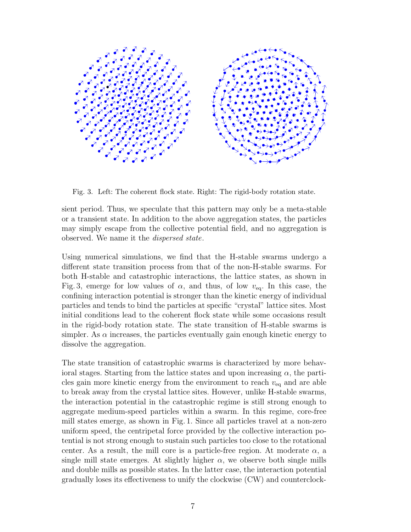

Fig. 3. Left: The coherent flock state. Right: The rigid-body rotation state.

sient period. Thus, we speculate that this pattern may only be a meta-stable or a transient state. In addition to the above aggregation states, the particles may simply escape from the collective potential field, and no aggregation is observed. We name it the dispersed state.

Using numerical simulations, we find that the H-stable swarms undergo a different state transition process from that of the non-H-stable swarms. For both H-stable and catastrophic interactions, the lattice states, as shown in Fig. 3, emerge for low values of  $\alpha$ , and thus, of low  $v_{eq}$ . In this case, the confining interaction potential is stronger than the kinetic energy of individual particles and tends to bind the particles at specific "crystal" lattice sites. Most initial conditions lead to the coherent flock state while some occasions result in the rigid-body rotation state. The state transition of H-stable swarms is simpler. As  $\alpha$  increases, the particles eventually gain enough kinetic energy to dissolve the aggregation.

The state transition of catastrophic swarms is characterized by more behavioral stages. Starting from the lattice states and upon increasing  $\alpha$ , the particles gain more kinetic energy from the environment to reach  $v_{eq}$  and are able to break away from the crystal lattice sites. However, unlike H-stable swarms, the interaction potential in the catastrophic regime is still strong enough to aggregate medium-speed particles within a swarm. In this regime, core-free mill states emerge, as shown in Fig. 1. Since all particles travel at a non-zero uniform speed, the centripetal force provided by the collective interaction potential is not strong enough to sustain such particles too close to the rotational center. As a result, the mill core is a particle-free region. At moderate  $\alpha$ , a single mill state emerges. At slightly higher  $\alpha$ , we observe both single mills and double mills as possible states. In the latter case, the interaction potential gradually loses its effectiveness to unify the clockwise (CW) and counterclock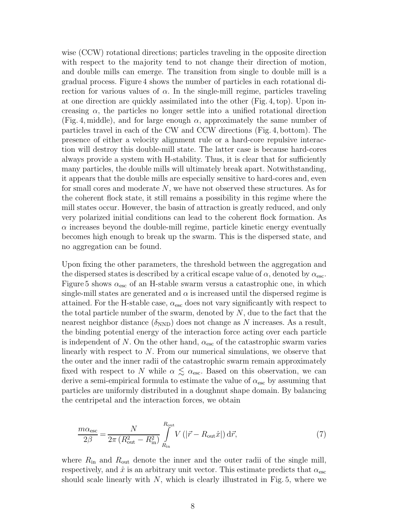wise (CCW) rotational directions; particles traveling in the opposite direction with respect to the majority tend to not change their direction of motion, and double mills can emerge. The transition from single to double mill is a gradual process. Figure 4 shows the number of particles in each rotational direction for various values of  $\alpha$ . In the single-mill regime, particles traveling at one direction are quickly assimilated into the other (Fig. 4, top). Upon increasing  $\alpha$ , the particles no longer settle into a unified rotational direction (Fig. 4, middle), and for large enough  $\alpha$ , approximately the same number of particles travel in each of the CW and CCW directions (Fig. 4, bottom). The presence of either a velocity alignment rule or a hard-core repulsive interaction will destroy this double-mill state. The latter case is because hard-cores always provide a system with H-stability. Thus, it is clear that for sufficiently many particles, the double mills will ultimately break apart. Notwithstanding, it appears that the double mills are especially sensitive to hard-cores and, even for small cores and moderate  $N$ , we have not observed these structures. As for the coherent flock state, it still remains a possibility in this regime where the mill states occur. However, the basin of attraction is greatly reduced, and only very polarized initial conditions can lead to the coherent flock formation. As  $\alpha$  increases beyond the double-mill regime, particle kinetic energy eventually becomes high enough to break up the swarm. This is the dispersed state, and no aggregation can be found.

Upon fixing the other parameters, the threshold between the aggregation and the dispersed states is described by a critical escape value of  $\alpha$ , denoted by  $\alpha_{\rm esc}$ . Figure 5 shows  $\alpha_{\rm esc}$  of an H-stable swarm versus a catastrophic one, in which single-mill states are generated and  $\alpha$  is increased until the dispersed regime is attained. For the H-stable case,  $\alpha_{\rm esc}$  does not vary significantly with respect to the total particle number of the swarm, denoted by  $N$ , due to the fact that the nearest neighbor distance  $(\delta_{\text{NND}})$  does not change as N increases. As a result, the binding potential energy of the interaction force acting over each particle is independent of N. On the other hand,  $\alpha_{\rm esc}$  of the catastrophic swarm varies linearly with respect to N. From our numerical simulations, we observe that the outer and the inner radii of the catastrophic swarm remain approximately fixed with respect to N while  $\alpha \lesssim \alpha_{\rm esc}$ . Based on this observation, we can derive a semi-empirical formula to estimate the value of  $\alpha_{\rm esc}$  by assuming that particles are uniformly distributed in a doughnut shape domain. By balancing the centripetal and the interaction forces, we obtain

$$
\frac{m\alpha_{\rm esc}}{2\beta} = \frac{N}{2\pi \left(R_{\rm out}^2 - R_{\rm in}^2\right)} \int\limits_{R_{\rm in}}^{R_{\rm out}} V\left(|\vec{r} - R_{\rm out}\hat{x}|\right) d\vec{r},\tag{7}
$$

where  $R_{\rm in}$  and  $R_{\rm out}$  denote the inner and the outer radii of the single mill, respectively, and  $\hat{x}$  is an arbitrary unit vector. This estimate predicts that  $\alpha_{\rm esc}$ should scale linearly with  $N$ , which is clearly illustrated in Fig. 5, where we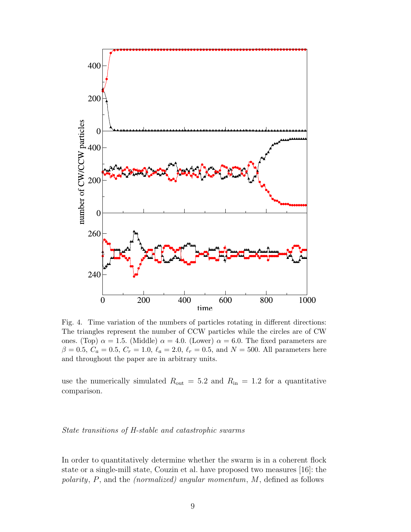

Fig. 4. Time variation of the numbers of particles rotating in different directions: The triangles represent the number of CCW particles while the circles are of CW ones. (Top)  $\alpha = 1.5$ . (Middle)  $\alpha = 4.0$ . (Lower)  $\alpha = 6.0$ . The fixed parameters are  $\beta = 0.5, C_a = 0.5, C_r = 1.0, \ell_a = 2.0, \ell_r = 0.5, \text{ and } N = 500.$  All parameters here and throughout the paper are in arbitrary units.

use the numerically simulated  $R_{\text{out}} = 5.2$  and  $R_{\text{in}} = 1.2$  for a quantitative comparison.

## State transitions of H-stable and catastrophic swarms

In order to quantitatively determine whether the swarm is in a coherent flock state or a single-mill state, Couzin et al. have proposed two measures [16]: the polarity, P, and the (normalized) angular momentum, M, defined as follows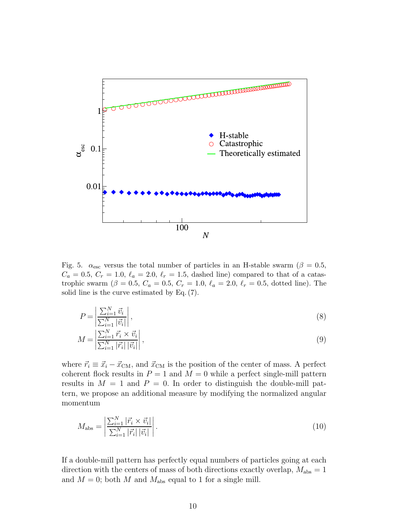

Fig. 5.  $\alpha_{\rm esc}$  versus the total number of particles in an H-stable swarm ( $\beta = 0.5$ ,  $C_a = 0.5, C_r = 1.0, \ell_a = 2.0, \ell_r = 1.5,$  dashed line) compared to that of a catastrophic swarm ( $\beta = 0.5, C_a = 0.5, C_r = 1.0, \ell_a = 2.0, \ell_r = 0.5,$  dotted line). The solid line is the curve estimated by Eq. (7).

$$
P = \left| \frac{\sum_{i=1}^{N} \vec{v}_i}{\sum_{i=1}^{N} |\vec{v}_i|} \right|,\tag{8}
$$

$$
M = \left| \frac{\sum_{i=1}^{N} \vec{r_i} \times \vec{v_i}}{\sum_{i=1}^{N} |\vec{r_i}| |\vec{v_i}|} \right|,
$$
\n
$$
(9)
$$

where  $\vec{r}_i \equiv \vec{x}_i - \vec{x}_{\text{CM}}$ , and  $\vec{x}_{\text{CM}}$  is the position of the center of mass. A perfect coherent flock results in  $P = 1$  and  $M = 0$  while a perfect single-mill pattern results in  $M = 1$  and  $P = 0$ . In order to distinguish the double-mill pattern, we propose an additional measure by modifying the normalized angular momentum

$$
M_{\rm abs} = \left| \frac{\sum_{i=1}^{N} |\vec{r_i} \times \vec{v_i}|}{\sum_{i=1}^{N} |\vec{r_i}| |\vec{v_i}|} \right|.
$$
 (10)

If a double-mill pattern has perfectly equal numbers of particles going at each direction with the centers of mass of both directions exactly overlap,  $M_{\text{abs}} = 1$ and  $M = 0$ ; both M and  $M_{\text{abs}}$  equal to 1 for a single mill.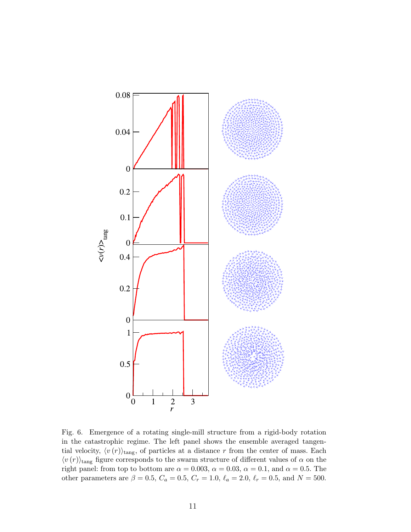

Fig. 6. Emergence of a rotating single-mill structure from a rigid-body rotation in the catastrophic regime. The left panel shows the ensemble averaged tangential velocity,  $\langle v (r) \rangle_{\text{tang}}$ , of particles at a distance r from the center of mass. Each  $\langle v\left(r\right)\rangle_{\rm tang}$  figure corresponds to the swarm structure of different values of  $\alpha$  on the right panel: from top to bottom are  $\alpha = 0.003, \alpha = 0.03, \alpha = 0.1,$  and  $\alpha = 0.5$ . The other parameters are  $\beta = 0.5$ ,  $C_a = 0.5$ ,  $C_r = 1.0$ ,  $\ell_a = 2.0$ ,  $\ell_r = 0.5$ , and  $N = 500$ .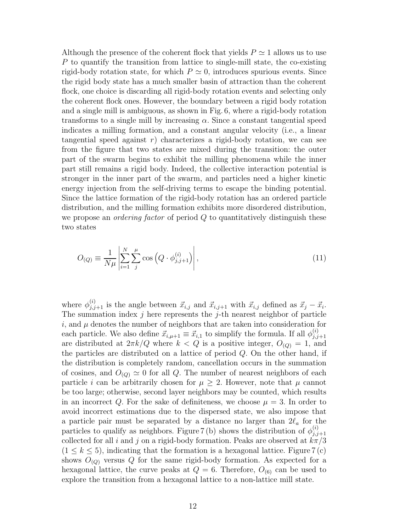Although the presence of the coherent flock that yields  $P \simeq 1$  allows us to use P to quantify the transition from lattice to single-mill state, the co-existing rigid-body rotation state, for which  $P \simeq 0$ , introduces spurious events. Since the rigid body state has a much smaller basin of attraction than the coherent flock, one choice is discarding all rigid-body rotation events and selecting only the coherent flock ones. However, the boundary between a rigid body rotation and a single mill is ambiguous, as shown in Fig. 6, where a rigid-body rotation transforms to a single mill by increasing  $\alpha$ . Since a constant tangential speed indicates a milling formation, and a constant angular velocity (i.e., a linear tangential speed against  $r$ ) characterizes a rigid-body rotation, we can see from the figure that two states are mixed during the transition: the outer part of the swarm begins to exhibit the milling phenomena while the inner part still remains a rigid body. Indeed, the collective interaction potential is stronger in the inner part of the swarm, and particles need a higher kinetic energy injection from the self-driving terms to escape the binding potential. Since the lattice formation of the rigid-body rotation has an ordered particle distribution, and the milling formation exhibits more disordered distribution, we propose an *ordering factor* of period  $Q$  to quantitatively distinguish these two states

$$
O_{(Q)} \equiv \frac{1}{N\mu} \left| \sum_{i=1}^{N} \sum_{j}^{\mu} \cos\left(Q \cdot \phi_{j,j+1}^{(i)}\right) \right|,
$$
\n(11)

where  $\phi_{j,j+1}^{(i)}$  is the angle between  $\vec{x}_{i,j}$  and  $\vec{x}_{i,j+1}$  with  $\vec{x}_{i,j}$  defined as  $\vec{x}_j - \vec{x}_i$ . The summation index  $j$  here represents the  $j$ -th nearest neighbor of particle  $i$ , and  $\mu$  denotes the number of neighbors that are taken into consideration for each particle. We also define  $\vec{x}_{i,\mu+1} \equiv \vec{x}_{i,1}$  to simplify the formula. If all  $\phi_{j,j}^{(i)}$  $_{j,j+1}$ are distributed at  $2\pi k/Q$  where  $k < Q$  is a positive integer,  $O_{(Q)} = 1$ , and the particles are distributed on a lattice of period Q. On the other hand, if the distribution is completely random, cancellation occurs in the summation of cosines, and  $O_{(Q)} \simeq 0$  for all Q. The number of nearest neighbors of each particle i can be arbitrarily chosen for  $\mu \geq 2$ . However, note that  $\mu$  cannot be too large; otherwise, second layer neighbors may be counted, which results in an incorrect Q. For the sake of definiteness, we choose  $\mu = 3$ . In order to avoid incorrect estimations due to the dispersed state, we also impose that a particle pair must be separated by a distance no larger than  $2\ell_a$  for the particles to qualify as neighbors. Figure 7(b) shows the distribution of  $\phi_{i,i}^{(i)}$  $_{j,j+1}$ collected for all i and j on a rigid-body formation. Peaks are observed at  $k\pi/3$  $(1 \leq k \leq 5)$ , indicating that the formation is a hexagonal lattice. Figure 7(c) shows  $O_{(Q)}$  versus Q for the same rigid-body formation. As expected for a hexagonal lattice, the curve peaks at  $Q = 6$ . Therefore,  $O_{(6)}$  can be used to explore the transition from a hexagonal lattice to a non-lattice mill state.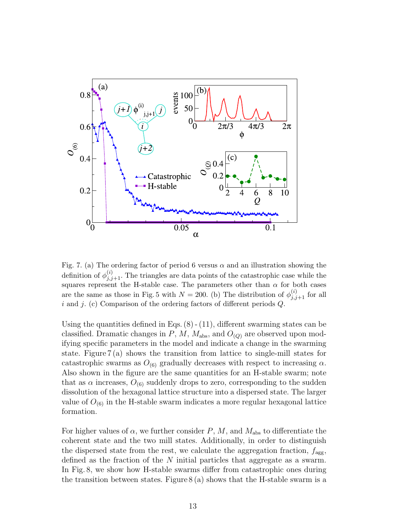

Fig. 7. (a) The ordering factor of period 6 versus  $\alpha$  and an illustration showing the definition of  $\phi_{j,j+1}^{(i)}$ . The triangles are data points of the catastrophic case while the squares represent the H-stable case. The parameters other than  $\alpha$  for both cases are the same as those in Fig. 5 with  $N = 200$ . (b) The distribution of  $\phi_{j,j+1}^{(i)}$  for all  $i$  and  $j$ . (c) Comparison of the ordering factors of different periods  $Q$ .

Using the quantities defined in Eqs.  $(8) - (11)$ , different swarming states can be classified. Dramatic changes in  $P$ ,  $M$ ,  $M<sub>abs</sub>$ , and  $O<sub>(Q)</sub>$  are observed upon modifying specific parameters in the model and indicate a change in the swarming state. Figure 7 (a) shows the transition from lattice to single-mill states for catastrophic swarms as  $O_{(6)}$  gradually decreases with respect to increasing  $\alpha$ . Also shown in the figure are the same quantities for an H-stable swarm; note that as  $\alpha$  increases,  $O_{(6)}$  suddenly drops to zero, corresponding to the sudden dissolution of the hexagonal lattice structure into a dispersed state. The larger value of  $O_{(6)}$  in the H-stable swarm indicates a more regular hexagonal lattice formation.

For higher values of  $\alpha$ , we further consider P, M, and  $M_{\text{abs}}$  to differentiate the coherent state and the two mill states. Additionally, in order to distinguish the dispersed state from the rest, we calculate the aggregation fraction,  $f_{\text{agg}}$ , defined as the fraction of the N initial particles that aggregate as a swarm. In Fig. 8, we show how H-stable swarms differ from catastrophic ones during the transition between states. Figure  $8(a)$  shows that the H-stable swarm is a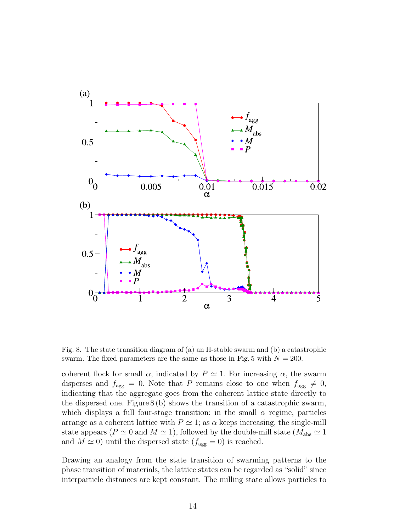

Fig. 8. The state transition diagram of (a) an H-stable swarm and (b) a catastrophic swarm. The fixed parameters are the same as those in Fig. 5 with  $N = 200$ .

coherent flock for small  $\alpha$ , indicated by  $P \simeq 1$ . For increasing  $\alpha$ , the swarm disperses and  $f_{\text{agg}} = 0$ . Note that P remains close to one when  $f_{\text{agg}} \neq 0$ , indicating that the aggregate goes from the coherent lattice state directly to the dispersed one. Figure  $8(b)$  shows the transition of a catastrophic swarm, which displays a full four-stage transition: in the small  $\alpha$  regime, particles arrange as a coherent lattice with  $P \simeq 1$ ; as  $\alpha$  keeps increasing, the single-mill state appears ( $P \simeq 0$  and  $M \simeq 1$ ), followed by the double-mill state ( $M_{\text{abs}} \simeq 1$ and  $M \simeq 0$ ) until the dispersed state  $(f_{\text{agg}} = 0)$  is reached.

Drawing an analogy from the state transition of swarming patterns to the phase transition of materials, the lattice states can be regarded as "solid" since interparticle distances are kept constant. The milling state allows particles to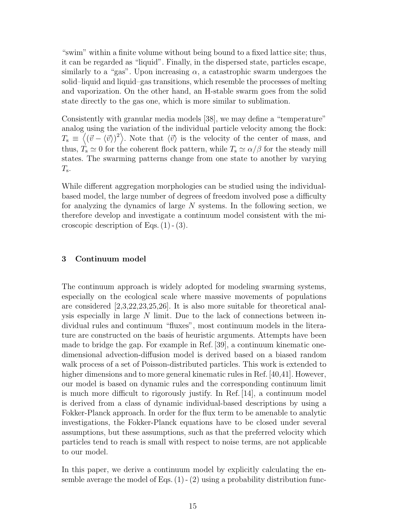"swim" within a finite volume without being bound to a fixed lattice site; thus, it can be regarded as "liquid". Finally, in the dispersed state, particles escape, similarly to a "gas". Upon increasing  $\alpha$ , a catastrophic swarm undergoes the solid–liquid and liquid–gas transitions, which resemble the processes of melting and vaporization. On the other hand, an H-stable swarm goes from the solid state directly to the gas one, which is more similar to sublimation.

Consistently with granular media models [38], we may define a "temperature" analog using the variation of the individual particle velocity among the flock:  $T_{\rm s} \equiv \langle (\vec{v} - \langle \vec{v} \rangle)^2 \rangle$ . Note that  $\langle \vec{v} \rangle$  is the velocity of the center of mass, and thus,  $T_s \simeq 0$  for the coherent flock pattern, while  $T_s \simeq \alpha/\beta$  for the steady mill states. The swarming patterns change from one state to another by varying  $T_{\mathrm{s}}.$ 

While different aggregation morphologies can be studied using the individualbased model, the large number of degrees of freedom involved pose a difficulty for analyzing the dynamics of large N systems. In the following section, we therefore develop and investigate a continuum model consistent with the microscopic description of Eqs.  $(1)$  -  $(3)$ .

# 3 Continuum model

The continuum approach is widely adopted for modeling swarming systems, especially on the ecological scale where massive movements of populations are considered [2,3,22,23,25,26]. It is also more suitable for theoretical analysis especially in large  $N$  limit. Due to the lack of connections between individual rules and continuum "fluxes", most continuum models in the literature are constructed on the basis of heuristic arguments. Attempts have been made to bridge the gap. For example in Ref. [39], a continuum kinematic onedimensional advection-diffusion model is derived based on a biased random walk process of a set of Poisson-distributed particles. This work is extended to higher dimensions and to more general kinematic rules in Ref. [40,41]. However, our model is based on dynamic rules and the corresponding continuum limit is much more difficult to rigorously justify. In Ref. [14], a continuum model is derived from a class of dynamic individual-based descriptions by using a Fokker-Planck approach. In order for the flux term to be amenable to analytic investigations, the Fokker-Planck equations have to be closed under several assumptions, but these assumptions, such as that the preferred velocity which particles tend to reach is small with respect to noise terms, are not applicable to our model.

In this paper, we derive a continuum model by explicitly calculating the ensemble average the model of Eqs.  $(1)$  -  $(2)$  using a probability distribution func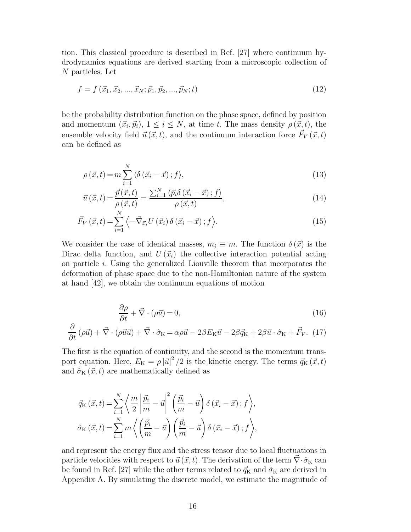tion. This classical procedure is described in Ref. [27] where continuum hydrodynamics equations are derived starting from a microscopic collection of N particles. Let

$$
f = f(\vec{x}_1, \vec{x}_2, \dots, \vec{x}_N; \vec{p}_1, \vec{p}_2, \dots, \vec{p}_N; t)
$$
\n(12)

be the probability distribution function on the phase space, defined by position and momentum  $(\vec{x}_i, \vec{p}_i), 1 \leq i \leq N$ , at time t. The mass density  $\rho(\vec{x}, t)$ , the ensemble velocity field  $\vec{u}(\vec{x}, t)$ , and the continuum interaction force  $\vec{F}_V(\vec{x}, t)$ can be defined as

$$
\rho\left(\vec{x},t\right) = m \sum_{i=1}^{N} \langle \delta\left(\vec{x}_i - \vec{x}\right); f \rangle,\tag{13}
$$

$$
\vec{u}\left(\vec{x},t\right) = \frac{\vec{p}\left(\vec{x},t\right)}{\rho\left(\vec{x},t\right)} = \frac{\sum_{i=1}^{N} \langle \vec{p}_i \delta\left(\vec{x}_i - \vec{x}\right); f \rangle}{\rho\left(\vec{x},t\right)},\tag{14}
$$

$$
\vec{F}_V\left(\vec{x},t\right) = \sum_{i=1}^N \left\langle -\vec{\nabla}_{\vec{x}_i} U\left(\vec{x}_i\right) \delta\left(\vec{x}_i - \vec{x}\right); f \right\rangle. \tag{15}
$$

We consider the case of identical masses,  $m_i \equiv m$ . The function  $\delta(\vec{x})$  is the Dirac delta function, and  $U(\vec{x}_i)$  the collective interaction potential acting on particle i. Using the generalized Liouville theorem that incorporates the deformation of phase space due to the non-Hamiltonian nature of the system at hand [42], we obtain the continuum equations of motion

$$
\frac{\partial \rho}{\partial t} + \vec{\nabla} \cdot (\rho \vec{u}) = 0,\tag{16}
$$

$$
\frac{\partial}{\partial t} \left( \rho \vec{u} \right) + \vec{\nabla} \cdot \left( \rho \vec{u} \vec{u} \right) + \vec{\nabla} \cdot \hat{\sigma}_{K} = \alpha \rho \vec{u} - 2\beta E_{K} \vec{u} - 2\beta \vec{q}_{K} + 2\beta \vec{u} \cdot \hat{\sigma}_{K} + \vec{F}_{V}.
$$
 (17)

The first is the equation of continuity, and the second is the momentum transport equation. Here,  $E_K = \rho |\vec{u}|^2 / 2$  is the kinetic energy. The terms  $\vec{q}_K(\vec{x}, t)$ and  $\hat{\sigma}_{\text{K}}(\vec{x}, t)$  are mathematically defined as

$$
\vec{q}_{\mathrm{K}}\left(\vec{x},t\right) = \sum_{i=1}^{N} \left\langle \frac{m}{2} \left| \frac{\vec{p}_{i}}{m} - \vec{u} \right|^{2} \left( \frac{\vec{p}_{i}}{m} - \vec{u} \right) \delta\left(\vec{x}_{i} - \vec{x}\right); f \right\rangle,
$$
\n
$$
\hat{\sigma}_{\mathrm{K}}\left(\vec{x},t\right) = \sum_{i=1}^{N} m \left\langle \left(\frac{\vec{p}_{i}}{m} - \vec{u}\right) \left(\frac{\vec{p}_{i}}{m} - \vec{u}\right) \delta\left(\vec{x}_{i} - \vec{x}\right); f \right\rangle,
$$

and represent the energy flux and the stress tensor due to local fluctuations in particle velocities with respect to  $\vec{u}(\vec{x}, t)$ . The derivation of the term  $\vec{\nabla} \cdot \hat{\sigma}_{\text{K}}$  can be found in Ref. [27] while the other terms related to  $\vec{q}_K$  and  $\hat{\sigma}_K$  are derived in Appendix A. By simulating the discrete model, we estimate the magnitude of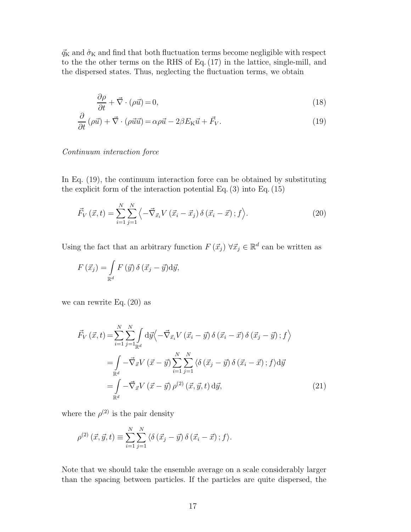$\vec{q}_K$  and  $\hat{\sigma}_K$  and find that both fluctuation terms become negligible with respect to the the other terms on the RHS of Eq. (17) in the lattice, single-mill, and the dispersed states. Thus, neglecting the fluctuation terms, we obtain

$$
\frac{\partial \rho}{\partial t} + \vec{\nabla} \cdot (\rho \vec{u}) = 0,\tag{18}
$$

$$
\frac{\partial}{\partial t} \left( \rho \vec{u} \right) + \vec{\nabla} \cdot \left( \rho \vec{u} \vec{u} \right) = \alpha \rho \vec{u} - 2\beta E_{\rm K} \vec{u} + \vec{F}_{V}.
$$
\n(19)

## Continuum interaction force

In Eq. (19), the continuum interaction force can be obtained by substituting the explicit form of the interaction potential Eq. (3) into Eq. (15)

$$
\vec{F}_V\left(\vec{x},t\right) = \sum_{i=1}^N \sum_{j=1}^N \left\langle -\vec{\nabla}_{\vec{x}_i} V\left(\vec{x}_i - \vec{x}_j\right) \delta\left(\vec{x}_i - \vec{x}\right); f \right\rangle. \tag{20}
$$

Using the fact that an arbitrary function  $F(\vec{x}_j) \ \forall \vec{x}_j \in \mathbb{R}^d$  can be written as

$$
F(\vec{x}_j) = \int_{\mathbb{R}^d} F(\vec{y}) \, \delta(\vec{x}_j - \vec{y}) \mathrm{d}\vec{y},
$$

we can rewrite Eq. (20) as

$$
\vec{F}_V\left(\vec{x},t\right) = \sum_{i=1}^N \sum_{j=1}^N \int_{\mathbb{R}^d} d\vec{y} \left\langle -\vec{\nabla}_{\vec{x}_i} V\left(\vec{x}_i - \vec{y}\right) \delta\left(\vec{x}_i - \vec{x}\right) \delta\left(\vec{x}_j - \vec{y}\right); f \right\rangle
$$
\n
$$
= \int_{\mathbb{R}^d} -\vec{\nabla}_{\vec{x}} V\left(\vec{x} - \vec{y}\right) \sum_{i=1}^N \sum_{j=1}^N \left\langle \delta\left(\vec{x}_j - \vec{y}\right) \delta\left(\vec{x}_i - \vec{x}\right); f \right\rangle d\vec{y}
$$
\n
$$
= \int_{\mathbb{R}^d} -\vec{\nabla}_{\vec{x}} V\left(\vec{x} - \vec{y}\right) \rho^{(2)}\left(\vec{x}, \vec{y}, t\right) d\vec{y}, \tag{21}
$$

where the  $\rho^{(2)}$  is the pair density

$$
\rho^{(2)}(\vec{x},\vec{y},t) \equiv \sum_{i=1}^{N} \sum_{j=1}^{N} \langle \delta(\vec{x}_j - \vec{y}) \delta(\vec{x}_i - \vec{x}) ; f \rangle.
$$

Note that we should take the ensemble average on a scale considerably larger than the spacing between particles. If the particles are quite dispersed, the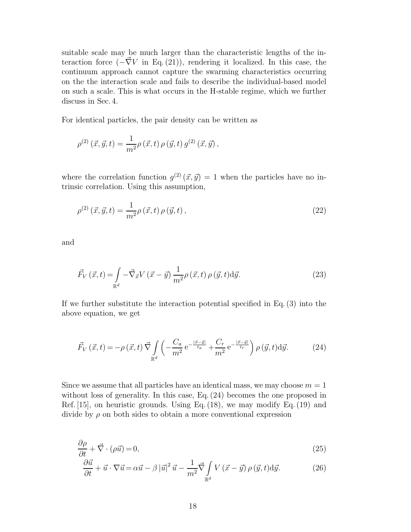suitable scale may be much larger than the characteristic lengths of the interaction force  $(-\nabla V$  in Eq. (21)), rendering it localized. In this case, the continuum approach cannot capture the swarming characteristics occurring on the the interaction scale and fails to describe the individual-based model on such a scale. This is what occurs in the H-stable regime, which we further discuss in Sec. 4.

For identical particles, the pair density can be written as

$$
\rho^{(2)}(\vec{x},\vec{y},t) = \frac{1}{m^2} \rho(\vec{x},t) \,\rho(\vec{y},t) \,g^{(2)}(\vec{x},\vec{y}),
$$

where the correlation function  $g^{(2)}(\vec{x}, \vec{y}) = 1$  when the particles have no intrinsic correlation. Using this assumption,

$$
\rho^{(2)}(\vec{x}, \vec{y}, t) = \frac{1}{m^2} \rho(\vec{x}, t) \rho(\vec{y}, t), \qquad (22)
$$

and

$$
\vec{F}_V\left(\vec{x},t\right) = \int\limits_{\mathbb{R}^d} -\vec{\nabla}_{\vec{x}} V\left(\vec{x}-\vec{y}\right) \frac{1}{m^2} \rho\left(\vec{x},t\right) \rho\left(\vec{y},t\right) \mathrm{d}\vec{y}.\tag{23}
$$

If we further substitute the interaction potential specified in Eq.(3) into the above equation, we get

$$
\vec{F}_V\left(\vec{x},t\right) = -\rho\left(\vec{x},t\right)\vec{\nabla}\int_{\mathbb{R}^d} \left(-\frac{C_a}{m^2}e^{-\frac{|\vec{x}-\vec{y}|}{\ell_a}} + \frac{C_r}{m^2}e^{-\frac{|\vec{x}-\vec{y}|}{\ell_r}}\right)\rho\left(\vec{y},t\right) \mathrm{d}\vec{y}.\tag{24}
$$

Since we assume that all particles have an identical mass, we may choose  $m = 1$ without loss of generality. In this case, Eq. (24) becomes the one proposed in Ref. [15], on heuristic grounds. Using Eq. (18), we may modify Eq. (19) and divide by  $\rho$  on both sides to obtain a more conventional expression

$$
\frac{\partial \rho}{\partial t} + \vec{\nabla} \cdot (\rho \vec{u}) = 0,\tag{25}
$$

$$
\frac{\partial \vec{u}}{\partial t} + \vec{u} \cdot \nabla \vec{u} = \alpha \vec{u} - \beta |\vec{u}|^2 \vec{u} - \frac{1}{m^2} \vec{\nabla} \int_{\mathbb{R}^d} V(\vec{x} - \vec{y}) \rho(\vec{y}, t) \mathrm{d}\vec{y}.
$$
 (26)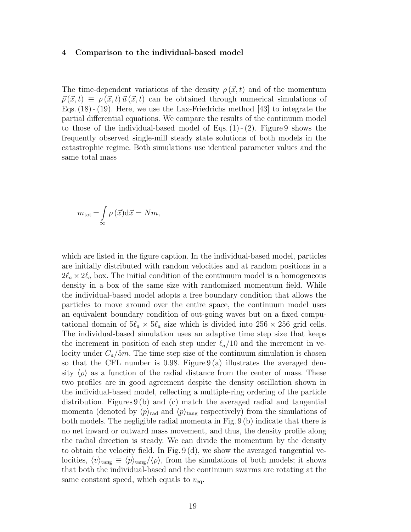#### 4 Comparison to the individual-based model

The time-dependent variations of the density  $\rho(\vec{x},t)$  and of the momentum  $\vec{p}(\vec{x}, t) \equiv \rho(\vec{x}, t) \vec{u}(\vec{x}, t)$  can be obtained through numerical simulations of Eqs. (18) - (19). Here, we use the Lax-Friedrichs method [43] to integrate the partial differential equations. We compare the results of the continuum model to those of the individual-based model of Eqs.  $(1)$  -  $(2)$ . Figure 9 shows the frequently observed single-mill steady state solutions of both models in the catastrophic regime. Both simulations use identical parameter values and the same total mass

$$
m_{\text{tot}} = \int_{\infty} \rho(\vec{x}) \, \mathrm{d}\vec{x} = Nm,
$$

which are listed in the figure caption. In the individual-based model, particles are initially distributed with random velocities and at random positions in a  $2\ell_a \times 2\ell_a$  box. The initial condition of the continuum model is a homogeneous density in a box of the same size with randomized momentum field. While the individual-based model adopts a free boundary condition that allows the particles to move around over the entire space, the continuum model uses an equivalent boundary condition of out-going waves but on a fixed computational domain of  $5\ell_a \times 5\ell_a$  size which is divided into  $256 \times 256$  grid cells. The individual-based simulation uses an adaptive time step size that keeps the increment in position of each step under  $\ell_a/10$  and the increment in velocity under  $C_a/5m$ . The time step size of the continuum simulation is chosen so that the CFL number is 0.98. Figure  $9(a)$  illustrates the averaged density  $\langle \rho \rangle$  as a function of the radial distance from the center of mass. These two profiles are in good agreement despite the density oscillation shown in the individual-based model, reflecting a multiple-ring ordering of the particle distribution. Figures 9 (b) and (c) match the averaged radial and tangential momenta (denoted by  $\langle p \rangle_{\text{rad}}$  and  $\langle p \rangle_{\text{tang}}$  respectively) from the simulations of both models. The negligible radial momenta in Fig. 9 (b) indicate that there is no net inward or outward mass movement, and thus, the density profile along the radial direction is steady. We can divide the momentum by the density to obtain the velocity field. In Fig. 9 (d), we show the averaged tangential velocities,  $\langle v \rangle_{\text{tang}} \equiv \langle p \rangle_{\text{tang}}/\langle \rho \rangle$ , from the simulations of both models; it shows that both the individual-based and the continuum swarms are rotating at the same constant speed, which equals to  $v_{eq}$ .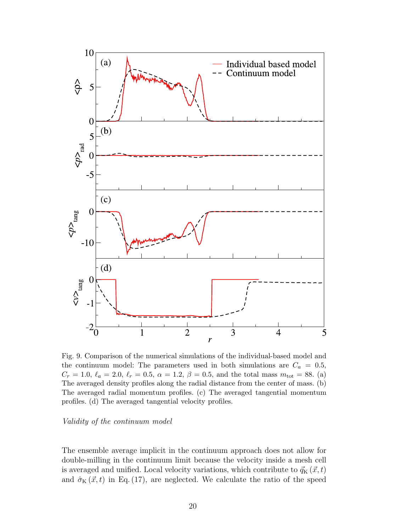

Fig. 9. Comparison of the numerical simulations of the individual-based model and the continuum model: The parameters used in both simulations are  $C_a = 0.5$ ,  $C_r = 1.0, \ell_a = 2.0, \ell_r = 0.5, \alpha = 1.2, \beta = 0.5, \text{ and the total mass } m_{\text{tot}} = 88.$  (a) The averaged density profiles along the radial distance from the center of mass. (b) The averaged radial momentum profiles. (c) The averaged tangential momentum profiles. (d) The averaged tangential velocity profiles.

## Validity of the continuum model

The ensemble average implicit in the continuum approach does not allow for double-milling in the continuum limit because the velocity inside a mesh cell is averaged and unified. Local velocity variations, which contribute to  $\vec{q}_{\mathbf{K}}(\vec{x}, t)$ and  $\hat{\sigma}_{\text{K}}(\vec{x}, t)$  in Eq. (17), are neglected. We calculate the ratio of the speed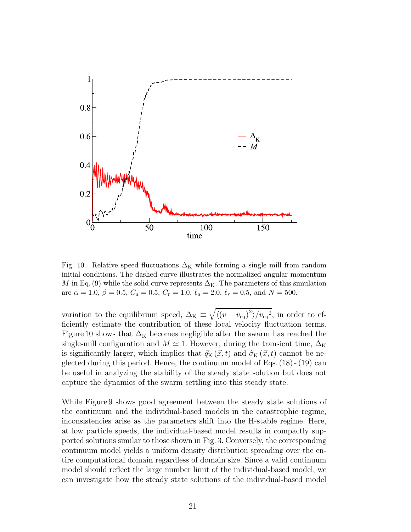

Fig. 10. Relative speed fluctuations  $\Delta_K$  while forming a single mill from random initial conditions. The dashed curve illustrates the normalized angular momentum M in Eq. (9) while the solid curve represents  $\Delta_{\rm K}$ . The parameters of this simulation are  $\alpha = 1.0, \beta = 0.5, C_a = 0.5, C_r = 1.0, \ell_a = 2.0, \ell_r = 0.5, \text{ and } N = 500.$ 

variation to the equilibrium speed,  $\Delta_K \equiv \sqrt{\langle (v - v_{\text{eq}})^2 \rangle / v_{\text{eq}}^2}$ , in order to efficiently estimate the contribution of these local velocity fluctuation terms. Figure 10 shows that  $\Delta_K$  becomes negligible after the swarm has reached the single-mill configuration and  $M \simeq 1$ . However, during the transient time,  $\Delta_K$ is significantly larger, which implies that  $\vec{q}_K (\vec{x}, t)$  and  $\hat{\sigma}_K (\vec{x}, t)$  cannot be neglected during this period. Hence, the continuum model of Eqs. (18) - (19) can be useful in analyzing the stability of the steady state solution but does not capture the dynamics of the swarm settling into this steady state.

While Figure 9 shows good agreement between the steady state solutions of the continuum and the individual-based models in the catastrophic regime, inconsistencies arise as the parameters shift into the H-stable regime. Here, at low particle speeds, the individual-based model results in compactly supported solutions similar to those shown in Fig. 3. Conversely, the corresponding continuum model yields a uniform density distribution spreading over the entire computational domain regardless of domain size. Since a valid continuum model should reflect the large number limit of the individual-based model, we can investigate how the steady state solutions of the individual-based model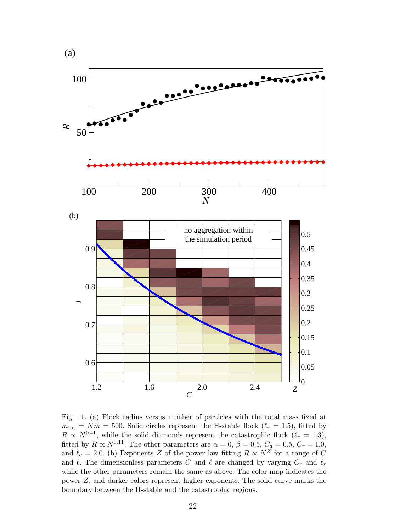

Fig. 11. (a) Flock radius versus number of particles with the total mass fixed at  $m_{\text{tot}} = Nm = 500$ . Solid circles represent the H-stable flock  $(\ell_r = 1.5)$ , fitted by  $R \propto N^{0.41}$ , while the solid diamonds represent the catastrophic flock  $(\ell_r = 1.3)$ , fitted by  $R \propto N^{0.11}$ . The other parameters are  $\alpha = 0$ ,  $\beta = 0.5$ ,  $C_a = 0.5$ ,  $C_r = 1.0$ , and  $\ell_a = 2.0$ . (b) Exponents Z of the power law fitting  $R \propto N^{\overline{Z}}$  for a range of C and  $\ell$ . The dimensionless parameters C and  $\ell$  are changed by varying  $C_r$  and  $\ell_r$ while the other parameters remain the same as above. The color map indicates the power Z, and darker colors represent higher exponents. The solid curve marks the boundary between the H-stable and the catastrophic regions.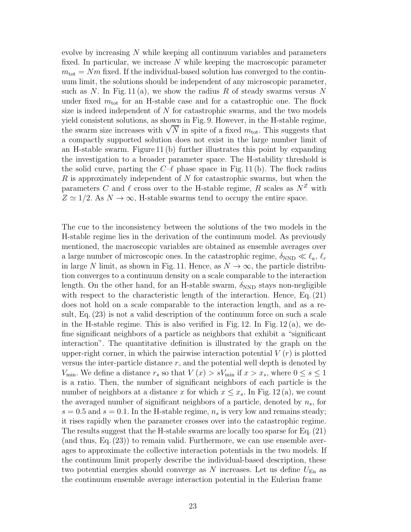evolve by increasing N while keeping all continuum variables and parameters fixed. In particular, we increase  $N$  while keeping the macroscopic parameter  $m_{\text{tot}} = Nm$  fixed. If the individual-based solution has converged to the continuum limit, the solutions should be independent of any microscopic parameter, such as N. In Fig. 11(a), we show the radius R of steady swarms versus N under fixed  $m_{\text{tot}}$  for an H-stable case and for a catastrophic one. The flock size is indeed independent of  $N$  for catastrophic swarms, and the two models yield consistent solutions, as shown in Fig. 9. However, in the H-stable regime, the swarm size increases with  $\sqrt{N}$  in spite of a fixed  $m_{\text{tot}}$ . This suggests that a compactly supported solution does not exist in the large number limit of an H-stable swarm. Figure 11 (b) further illustrates this point by expanding the investigation to a broader parameter space. The H-stability threshold is the solid curve, parting the  $C-\ell$  phase space in Fig. 11 (b). The flock radius R is approximately independent of N for catastrophic swarms, but when the parameters C and  $\ell$  cross over to the H-stable regime, R scales as  $N^Z$  with  $Z \simeq 1/2$ . As  $N \to \infty$ , H-stable swarms tend to occupy the entire space.

The cue to the inconsistency between the solutions of the two models in the H-stable regime lies in the derivation of the continuum model. As previously mentioned, the macroscopic variables are obtained as ensemble averages over a large number of microscopic ones. In the catastrophic regime,  $\delta_{\rm NND} \ll \ell_a, \ell_r$ in large N limit, as shown in Fig. 11. Hence, as  $N \to \infty$ , the particle distribution converges to a continuum density on a scale comparable to the interaction length. On the other hand, for an H-stable swarm,  $\delta_{\rm NND}$  stays non-negligible with respect to the characteristic length of the interaction. Hence, Eq. (21) does not hold on a scale comparable to the interaction length, and as a result, Eq. (23) is not a valid description of the continuum force on such a scale in the H-stable regime. This is also verified in Fig. 12. In Fig.  $12(a)$ , we define significant neighbors of a particle as neighbors that exhibit a "significant interaction". The quantitative definition is illustrated by the graph on the upper-right corner, in which the pairwise interaction potential  $V(r)$  is plotted versus the inter-particle distance  $r$ , and the potential well depth is denoted by  $V_{\text{min}}$ . We define a distance  $r_s$  so that  $V(x) > sV_{\text{min}}$  if  $x > x_s$ , where  $0 \le s \le 1$ is a ratio. Then, the number of significant neighbors of each particle is the number of neighbors at a distance x for which  $x \leq x_s$ . In Fig. 12(a), we count the averaged number of significant neighbors of a particle, denoted by  $n_s$ , for  $s = 0.5$  and  $s = 0.1$ . In the H-stable regime,  $n<sub>s</sub>$  is very low and remains steady; it rises rapidly when the parameter crosses over into the catastrophic regime. The results suggest that the H-stable swarms are locally too sparse for Eq. (21) (and thus, Eq. (23)) to remain valid. Furthermore, we can use ensemble averages to approximate the collective interaction potentials in the two models. If the continuum limit properly describe the individual-based description, these two potential energies should converge as N increases. Let us define  $U_{\text{Eu}}$  as the continuum ensemble average interaction potential in the Eulerian frame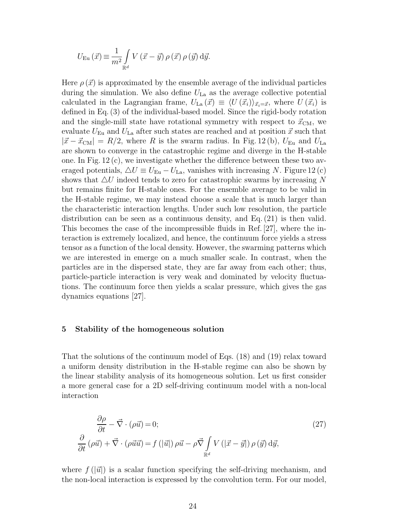$$
U_{\text{Eu}}\left(\vec{x}\right) \equiv \frac{1}{m^2} \int\limits_{\mathbb{R}^d} V\left(\vec{x} - \vec{y}\right) \rho\left(\vec{x}\right) \rho\left(\vec{y}\right) \text{d}\vec{y}.
$$

Here  $\rho(\vec{x})$  is approximated by the ensemble average of the individual particles during the simulation. We also define  $U_{\text{La}}$  as the average collective potential calculated in the Lagrangian frame,  $U_{\text{La}}(\vec{x}) \equiv \langle U(\vec{x}_i) \rangle_{\vec{x}_i=\vec{x}}$ , where  $U(\vec{x}_i)$  is defined in Eq. (3) of the individual-based model. Since the rigid-body rotation and the single-mill state have rotational symmetry with respect to  $\vec{x}_{\text{CM}}$ , we evaluate  $U_{\text{Eu}}$  and  $U_{\text{La}}$  after such states are reached and at position  $\vec{x}$  such that  $|\vec{x} - \vec{x}_{\text{CM}}| = R/2$ , where R is the swarm radius. In Fig. 12(b),  $U_{\text{Eu}}$  and  $U_{\text{La}}$ are shown to converge in the catastrophic regime and diverge in the H-stable one. In Fig. 12 (c), we investigate whether the difference between these two averaged potentials,  $\Delta U \equiv U_{Eu} - U_{La}$ , vanishes with increasing N. Figure 12(c) shows that  $\Delta U$  indeed tends to zero for catastrophic swarms by increasing N but remains finite for H-stable ones. For the ensemble average to be valid in the H-stable regime, we may instead choose a scale that is much larger than the characteristic interaction lengths. Under such low resolution, the particle distribution can be seen as a continuous density, and Eq. (21) is then valid. This becomes the case of the incompressible fluids in Ref. [27], where the interaction is extremely localized, and hence, the continuum force yields a stress tensor as a function of the local density. However, the swarming patterns which we are interested in emerge on a much smaller scale. In contrast, when the particles are in the dispersed state, they are far away from each other; thus, particle-particle interaction is very weak and dominated by velocity fluctuations. The continuum force then yields a scalar pressure, which gives the gas dynamics equations [27].

## 5 Stability of the homogeneous solution

That the solutions of the continuum model of Eqs. (18) and (19) relax toward a uniform density distribution in the H-stable regime can also be shown by the linear stability analysis of its homogeneous solution. Let us first consider a more general case for a 2D self-driving continuum model with a non-local interaction

$$
\frac{\partial \rho}{\partial t} - \vec{\nabla} \cdot (\rho \vec{u}) = 0; \n\frac{\partial}{\partial t} (\rho \vec{u}) + \vec{\nabla} \cdot (\rho \vec{u} \vec{u}) = f(|\vec{u}|) \rho \vec{u} - \rho \vec{\nabla} \int_{\mathbb{R}^d} V(|\vec{x} - \vec{y}|) \rho(\vec{y}) d\vec{y},
$$
\n(27)

where  $f(|\vec{u}|)$  is a scalar function specifying the self-driving mechanism, and the non-local interaction is expressed by the convolution term. For our model,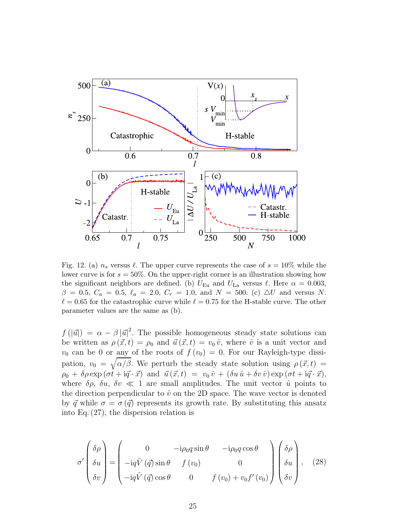

Fig. 12. (a)  $n_s$  versus  $\ell$ . The upper curve represents the case of  $s = 10\%$  while the lower curve is for  $s = 50\%$ . On the upper-right corner is an illustration showing how the significant neighbors are defined. (b)  $U_{Eu}$  and  $U_{La}$  versus  $\ell$ . Here  $\alpha = 0.003$ ,  $\beta = 0.5, C_a = 0.5, \ell_a = 2.0, C_r = 1.0, \text{ and } N = 500.$  (c)  $\Delta U$  and versus N.  $\ell = 0.65$  for the catastrophic curve while  $\ell = 0.75$  for the H-stable curve. The other parameter values are the same as (b).

 $f(|\vec{u}|) = \alpha - \beta |\vec{u}|^2$ . The possible homogeneous steady state solutions can be written as  $\rho(\vec{x}, t) = \rho_0$  and  $\vec{u}(\vec{x}, t) = v_0 \hat{v}$ , where  $\hat{v}$  is a unit vector and  $v_0$  can be 0 or any of the roots of  $f(v_0) = 0$ . For our Rayleigh-type dissipation,  $v_0 = \sqrt{\alpha/\beta}$ . We perturb the steady state solution using  $\rho(\vec{x}, t) =$  $\rho_0 + \delta \rho \exp{(\sigma \dot{\mathbf{t}} + \mathrm{i} \vec{q} \cdot \vec{x})}$  and  $\vec{u}(\vec{x}, t) = v_0 \hat{v} + (\delta u \hat{u} + \delta v \hat{v}) \exp{(\sigma \dot{\mathbf{t}} + \mathrm{i} \vec{q} \cdot \vec{x})}$ , where  $\delta \rho$ ,  $\delta u$ ,  $\delta v \ll 1$  are small amplitudes. The unit vector  $\hat{u}$  points to the direction perpendicular to  $\hat{v}$  on the 2D space. The wave vector is denoted by  $\vec{q}$  while  $\sigma = \sigma(\vec{q})$  represents its growth rate. By substituting this ansatz into Eq. (27), the dispersion relation is

$$
\sigma' \begin{pmatrix} \delta \rho \\ \delta u \\ \delta v \end{pmatrix} = \begin{pmatrix} 0 & -i\rho_0 q \sin \theta & -i\rho_0 q \cos \theta \\ -i q \tilde{V} (\vec{q}) \sin \theta & f (v_0) & 0 \\ -i q \tilde{V} (\vec{q}) \cos \theta & 0 & f (v_0) + v_0 f'(v_0) \end{pmatrix} \begin{pmatrix} \delta \rho \\ \delta u \\ \delta v \end{pmatrix}, \quad (28)
$$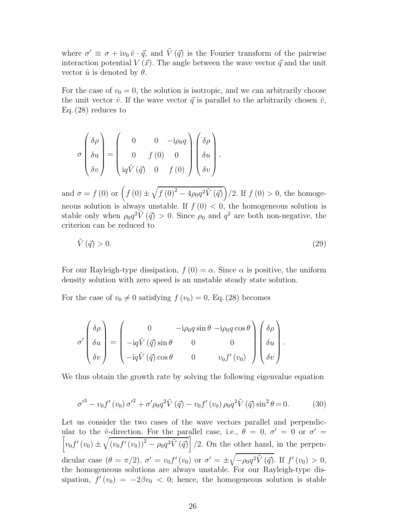where  $\sigma' \equiv \sigma + i v_0 \hat{v} \cdot \vec{q}$ , and  $\tilde{V}(\vec{q})$  is the Fourier transform of the pairwise interaction potential  $V(\vec{x})$ . The angle between the wave vector  $\vec{q}$  and the unit vector  $\hat{u}$  is denoted by  $\theta$ .

For the case of  $v_0 = 0$ , the solution is isotropic, and we can arbitrarily choose the unit vector  $\hat{v}$ . If the wave vector  $\vec{q}$  is parallel to the arbitrarily chosen  $\hat{v}$ , Eq. (28) reduces to

$$
\sigma \begin{pmatrix} \delta \rho \\ \delta u \\ \delta v \end{pmatrix} = \begin{pmatrix} 0 & 0 & -i\rho_0 q \\ 0 & f(0) & 0 \\ iq\tilde{V}(\vec{q}) & 0 & f(0) \end{pmatrix} \begin{pmatrix} \delta \rho \\ \delta u \\ \delta v \end{pmatrix},
$$

and  $\sigma = f(0)$  or  $(f(0) \pm \sqrt{f(0)^2 - 4\rho_0 q^2 \tilde{V}(\vec{q})})/2$ . If  $f(0) > 0$ , the homogeneous solution is always unstable. If  $f(0) < 0$ , the homogeneous solution is stable only when  $\rho_0 q^2 \tilde{V}(\vec{q}) > 0$ . Since  $\rho_0$  and  $q^2$  are both non-negative, the criterion can be reduced to

$$
\tilde{V}(\vec{q}) > 0. \tag{29}
$$

For our Rayleigh-type dissipation,  $f(0) = \alpha$ . Since  $\alpha$  is positive, the uniform density solution with zero speed is an unstable steady state solution.

For the case of  $v_0 \neq 0$  satisfying  $f(v_0) = 0$ , Eq. (28) becomes

$$
\sigma' \begin{pmatrix} \delta \rho \\ \delta u \\ \delta v \end{pmatrix} = \begin{pmatrix} 0 & -i\rho_0 q \sin \theta & -i\rho_0 q \cos \theta \\ -i q \tilde{V} (\vec{q}) \sin \theta & 0 & 0 \\ -i q \tilde{V} (\vec{q}) \cos \theta & 0 & v_0 f'(v_0) \end{pmatrix} \begin{pmatrix} \delta \rho \\ \delta u \\ \delta v \end{pmatrix}.
$$

We thus obtain the growth rate by solving the following eigenvalue equation

$$
\sigma'^3 - v_0 f'(v_0) \sigma'^2 + \sigma' \rho_0 q^2 \tilde{V}(\vec{q}) - v_0 f'(v_0) \rho_0 q^2 \tilde{V}(\vec{q}) \sin^2 \theta = 0.
$$
 (30)

Let us consider the two cases of the wave vectors parallel and perpendicular to the  $\hat{v}$ -direction. For the parallel case, i.e.,  $\theta = 0$ ,  $\sigma' = 0$  or  $\sigma$ ſ  $' =$  $v_0 f'(v_0) \pm \sqrt{(v_0 f'(v_0))^2 - \rho_0 q^2 \tilde{V}(\vec{q})}$  /2. On the other hand, in the perpendicular case  $(\theta = \pi/2)$ ,  $\sigma' = v_0 f'(v_0)$  or  $\sigma' = \pm \sqrt{-\rho_0 q^2 \tilde{V}(\vec{q})}$ . If  $f'(v_0) > 0$ , the homogeneous solutions are always unstable. For our Rayleigh-type dissipation,  $f'(v_0) = -2\beta v_0 < 0$ ; hence, the homogeneous solution is stable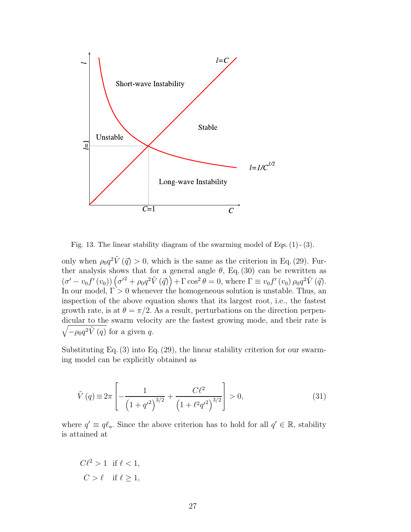

Fig. 13. The linear stability diagram of the swarming model of Eqs. (1) - (3).

only when  $\rho_0 q^2 \tilde{V}(\vec{q}) > 0$ , which is the same as the criterion in Eq. (29). Further analysis shows that for a general angle  $\theta$ , Eq. (30) can be rewritten as  $(\sigma' - v_0 f'(v_0)) (\sigma'^2 + \rho_0 q^2 \tilde{V}(\vec{q})) + \Gamma \cos^2 \theta = 0$ , where  $\Gamma \equiv v_0 f'(v_0) \rho_0 q^2 \tilde{V}(\vec{q})$ . In our model,  $\Gamma > 0$  whenever the homogeneous solution is unstable. Thus, an inspection of the above equation shows that its largest root, i.e., the fastest growth rate, is at  $\theta = \pi/2$ . As a result, perturbations on the direction perpendicular to the swarm velocity are the fastest growing mode, and the ir rate is  $\sqrt{-\rho_0 q^2 \tilde{V}(q)}$  for a given q.

Substituting Eq. (3) into Eq. (29), the linear stability criterion for our swarming model can be explicitly obtained as

$$
\tilde{V}(q) \equiv 2\pi \left[ -\frac{1}{\left(1+q'^2\right)^{3/2}} + \frac{C\ell^2}{\left(1+\ell^2 q'^2\right)^{3/2}} \right] > 0,\tag{31}
$$

where  $q' \equiv q \ell_a$ . Since the above criterion has to hold for all  $q' \in \mathbb{R}$ , stability is attained at

 $C\ell^2 > 1$  if  $\ell < 1$ ,  $C > \ell$  if  $\ell > 1$ ,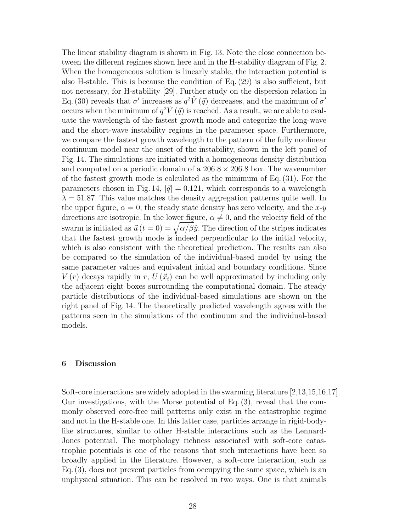The linear stability diagram is shown in Fig. 13. Note the close connection between the different regimes shown here and in the H-stability diagram of Fig. 2. When the homogeneous solution is linearly stable, the interaction potential is also H-stable. This is because the condition of Eq. (29) is also sufficient, but not necessary, for H-stability [29]. Further study on the dispersion relation in Eq. (30) reveals that  $\sigma'$  increases as  $q^2\tilde{V}(\vec{q})$  decreases, and the maximum of  $\sigma'$ occurs when the minimum of  $q^2\tilde{V}(\vec{q})$  is reached. As a result, we are able to evaluate the wavelength of the fastest growth mode and categorize the long-wave and the short-wave instability regions in the parameter space. Furthermore, we compare the fastest growth wavelength to the pattern of the fully nonlinear continuum model near the onset of the instability, shown in the left panel of Fig. 14. The simulations are initiated with a homogeneous density distribution and computed on a periodic domain of a  $206.8 \times 206.8$  box. The wavenumber of the fastest growth mode is calculated as the minimum of Eq. (31). For the parameters chosen in Fig. 14,  $|\vec{q}| = 0.121$ , which corresponds to a wavelength  $\lambda = 51.87$ . This value matches the density aggregation patterns quite well. In the upper figure,  $\alpha = 0$ ; the steady state density has zero velocity, and the x-y directions are isotropic. In the lower figure,  $\alpha \neq 0$ , and the velocity field of the swarm is initiated as  $\vec{u}$   $(t = 0) = \sqrt{\alpha/\beta \hat{y}}$ . The direction of the stripes indicates that the fastest growth mode is indeed perpendicular to the initial velocity, which is also consistent with the theoretical prediction. The results can also be compared to the simulation of the individual-based model by using the same parameter values and equivalent initial and boundary conditions. Since  $V(r)$  decays rapidly in r,  $U(\vec{x}_i)$  can be well approximated by including only the adjacent eight boxes surrounding the computational domain. The steady particle distributions of the individual-based simulations are shown on the right panel of Fig. 14. The theoretically predicted wavelength agrees with the patterns seen in the simulations of the continuum and the individual-based models.

## 6 Discussion

Soft-core interactions are widely adopted in the swarming literature [2,13,15,16,17]. Our investigations, with the Morse potential of Eq. (3), reveal that the commonly observed core-free mill patterns only exist in the catastrophic regime and not in the H-stable one. In this latter case, particles arrange in rigid-bodylike structures, similar to other H-stable interactions such as the Lennard-Jones potential. The morphology richness associated with soft-core catastrophic potentials is one of the reasons that such interactions have been so broadly applied in the literature. However, a soft-core interaction, such as Eq. (3), does not prevent particles from occupying the same space, which is an unphysical situation. This can be resolved in two ways. One is that animals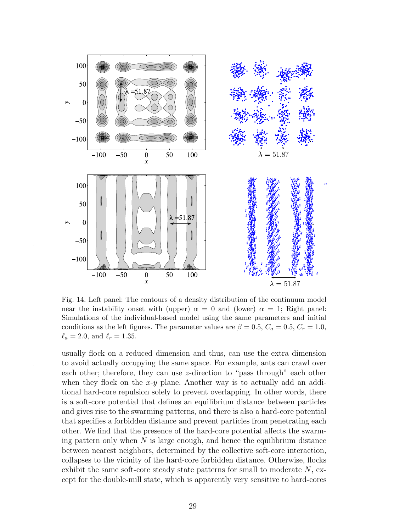

Fig. 14. Left panel: The contours of a density distribution of the continuum model near the instability onset with (upper)  $\alpha = 0$  and (lower)  $\alpha = 1$ ; Right panel: Simulations of the individual-based model using the same parameters and initial conditions as the left figures. The parameter values are  $\beta = 0.5, C_a = 0.5, C_r = 1.0,$  $\ell_a = 2.0$ , and  $\ell_r = 1.35$ .

usually flock on a reduced dimension and thus, can use the extra dimension to avoid actually occupying the same space. For example, ants can crawl over each other; therefore, they can use z-direction to "pass through" each other when they flock on the  $x-y$  plane. Another way is to actually add an additional hard-core repulsion solely to prevent overlapping. In other words, there is a soft-core potential that defines an equilibrium distance between particles and gives rise to the swarming patterns, and there is also a hard-core potential that specifies a forbidden distance and prevent particles from penetrating each other. We find that the presence of the hard-core potential affects the swarming pattern only when  $N$  is large enough, and hence the equilibrium distance between nearest neighbors, determined by the collective soft-core interaction, collapses to the vicinity of the hard-core forbidden distance. Otherwise, flocks exhibit the same soft-core steady state patterns for small to moderate  $N$ , except for the double-mill state, which is apparently very sensitive to hard-cores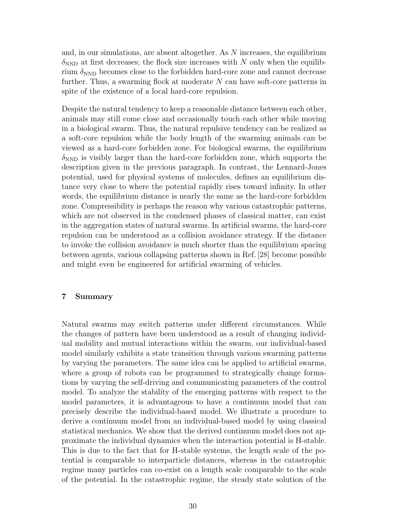and, in our simulations, are absent altogether. As  $N$  increases, the equilibrium  $\delta_{\rm NND}$  at first decreases; the flock size increases with N only when the equilibrium  $\delta_{\rm NND}$  becomes close to the forbidden hard-core zone and cannot decrease further. Thus, a swarming flock at moderate  $N$  can have soft-core patterns in spite of the existence of a local hard-core repulsion.

Despite the natural tendency to keep a reasonable distance between each other, animals may still come close and occasionally touch each other while moving in a biological swarm. Thus, the natural repulsive tendency can be realized as a soft-core repulsion while the body length of the swarming animals can be viewed as a hard-core forbidden zone. For biological swarms, the equilibrium  $\delta_{\rm NND}$  is visibly larger than the hard-core forbidden zone, which supports the description given in the previous paragraph. In contrast, the Lennard-Jones potential, used for physical systems of molecules, defines an equilibrium distance very close to where the potential rapidly rises toward infinity. In other words, the equilibrium distance is nearly the same as the hard-core forbidden zone. Compressibility is perhaps the reason why various catastrophic patterns, which are not observed in the condensed phases of classical matter, can exist in the aggregation states of natural swarms. In artificial swarms, the hard-core repulsion can be understood as a collision avoidance strategy. If the distance to invoke the collision avoidance is much shorter than the equilibrium spacing between agents, various collapsing patterns shown in Ref. [28] become possible and might even be engineered for artificial swarming of vehicles.

# 7 Summary

Natural swarms may switch patterns under different circumstances. While the changes of pattern have been understood as a result of changing individual mobility and mutual interactions within the swarm, our individual-based model similarly exhibits a state transition through various swarming patterns by varying the parameters. The same idea can be applied to artificial swarms, where a group of robots can be programmed to strategically change formations by varying the self-driving and communicating parameters of the control model. To analyze the stability of the emerging patterns with respect to the model parameters, it is advantageous to have a continuum model that can precisely describe the individual-based model. We illustrate a procedure to derive a continuum model from an individual-based model by using classical statistical mechanics. We show that the derived continuum model does not approximate the individual dynamics when the interaction potential is H-stable. This is due to the fact that for H-stable systems, the length scale of the potential is comparable to interparticle distances, whereas in the catastrophic regime many particles can co-exist on a length scale comparable to the scale of the potential. In the catastrophic regime, the steady state solution of the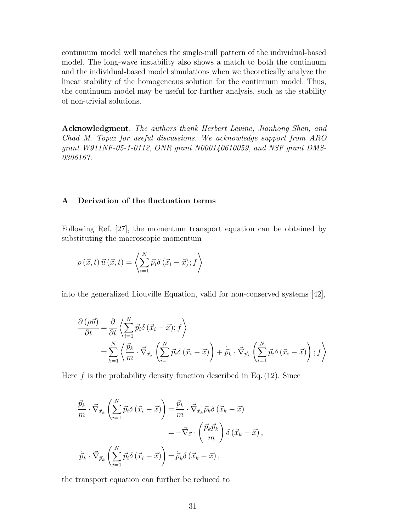continuum model well matches the single-mill pattern of the individual-based model. The long-wave instability also shows a match to both the continuum and the individual-based model simulations when we theoretically analyze the linear stability of the homogeneous solution for the continuum model. Thus, the continuum model may be useful for further analysis, such as the stability of non-trivial solutions.

Acknowledgment. The authors thank Herbert Levine, Jianhong Shen, and Chad M. Topaz for useful discussions. We acknowledge support from ARO grant W911NF-05-1-0112, ONR grant N000140610059, and NSF grant DMS-0306167.

# A Derivation of the fluctuation terms

Following Ref. [27], the momentum transport equation can be obtained by substituting the macroscopic momentum

$$
\rho(\vec{x},t)\,\vec{u}\,(\vec{x},t) = \left\langle \sum_{i=1}^{N} \vec{p_i} \delta\left(\vec{x_i} - \vec{x}\right); f \right\rangle
$$

into the generalized Liouville Equation, valid for non-conserved systems [42],

$$
\frac{\partial (\rho \vec{u})}{\partial t} = \frac{\partial}{\partial t} \left\langle \sum_{i=1}^{N} \vec{p}_i \delta (\vec{x}_i - \vec{x}); f \right\rangle
$$
  
= 
$$
\sum_{k=1}^{N} \left\langle \frac{\vec{p}_k}{m} \cdot \vec{\nabla}_{\vec{x}_k} \left( \sum_{i=1}^{N} \vec{p}_i \delta (\vec{x}_i - \vec{x}) \right) + \dot{\vec{p}}_k \cdot \vec{\nabla}_{\vec{p}_k} \left( \sum_{i=1}^{N} \vec{p}_i \delta (\vec{x}_i - \vec{x}) \right); f \right\rangle.
$$

Here  $f$  is the probability density function described in Eq.  $(12)$ . Since

$$
\frac{\vec{p}_k}{m} \cdot \vec{\nabla}_{\vec{x}_k} \left( \sum_{i=1}^N \vec{p}_i \delta\left(\vec{x}_i - \vec{x}\right) \right) = \frac{\vec{p}_k}{m} \cdot \vec{\nabla}_{\vec{x}_k} \vec{p}_k \delta\left(\vec{x}_k - \vec{x}\right)
$$
\n
$$
= -\vec{\nabla}_{\vec{x}} \cdot \left(\frac{\vec{p}_k \vec{p}_k}{m}\right) \delta\left(\vec{x}_k - \vec{x}\right),
$$
\n
$$
\dot{\vec{p}}_k \cdot \vec{\nabla}_{\vec{p}_k} \left( \sum_{i=1}^N \vec{p}_i \delta\left(\vec{x}_i - \vec{x}\right) \right) = \dot{\vec{p}}_k \delta\left(\vec{x}_k - \vec{x}\right),
$$

the transport equation can further be reduced to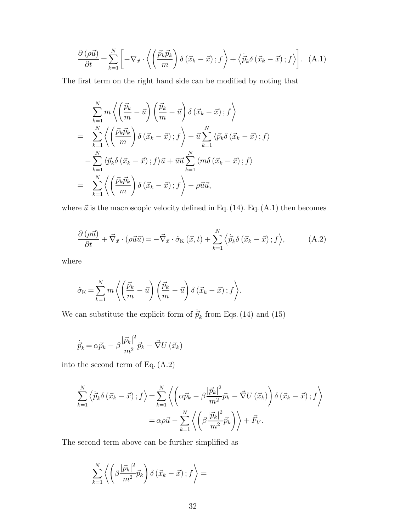$$
\frac{\partial \left(\rho \vec{u}\right)}{\partial t} = \sum_{k=1}^{N} \left[ -\nabla_{\vec{x}} \cdot \left\langle \left(\frac{\vec{p}_k \vec{p}_k}{m}\right) \delta\left(\vec{x}_k - \vec{x}\right); f \right\rangle + \left\langle \dot{\vec{p}}_k \delta\left(\vec{x}_k - \vec{x}\right); f \right\rangle \right]. \tag{A.1}
$$

The first term on the right hand side can be modified by noting that

$$
\sum_{k=1}^{N} m \left\langle \left( \frac{\vec{p}_k}{m} - \vec{u} \right) \left( \frac{\vec{p}_k}{m} - \vec{u} \right) \delta \left( \vec{x}_k - \vec{x} \right); f \right\rangle
$$
\n
$$
= \sum_{k=1}^{N} \left\langle \left( \frac{\vec{p}_k \vec{p}_k}{m} \right) \delta \left( \vec{x}_k - \vec{x} \right); f \right\rangle - \vec{u} \sum_{k=1}^{N} \left\langle \vec{p}_k \delta \left( \vec{x}_k - \vec{x} \right); f \right\rangle
$$
\n
$$
- \sum_{k=1}^{N} \left\langle \vec{p}_k \delta \left( \vec{x}_k - \vec{x} \right); f \right\rangle \vec{u} + \vec{u} \vec{u} \sum_{k=1}^{N} \left\langle m \delta \left( \vec{x}_k - \vec{x} \right); f \right\rangle
$$
\n
$$
= \sum_{k=1}^{N} \left\langle \left( \frac{\vec{p}_k \vec{p}_k}{m} \right) \delta \left( \vec{x}_k - \vec{x} \right); f \right\rangle - \rho \vec{u} \vec{u},
$$

where  $\vec{u}$  is the macroscopic velocity defined in Eq. (14). Eq. (A.1) then becomes

$$
\frac{\partial \left(\rho \vec{u}\right)}{\partial t} + \vec{\nabla}_{\vec{x}} \cdot \left(\rho \vec{u} \vec{u}\right) = -\vec{\nabla}_{\vec{x}} \cdot \hat{\sigma}_{\mathcal{K}}\left(\vec{x}, t\right) + \sum_{k=1}^{N} \left\langle \dot{p}_{k} \delta\left(\vec{x}_{k} - \vec{x}\right); f\right\rangle, \tag{A.2}
$$

where

$$
\hat{\sigma}_{\mathcal{K}} = \sum_{k=1}^{N} m \left\langle \left( \frac{\vec{p}_k}{m} - \vec{u} \right) \left( \frac{\vec{p}_k}{m} - \vec{u} \right) \delta \left( \vec{x}_k - \vec{x} \right) ; f \right\rangle.
$$

We can substitute the explicit form of  $\dot{\vec{p}}_k$  from Eqs. (14) and (15)

$$
\dot{\vec{p}}_k = \alpha \vec{p}_k - \beta \frac{|\vec{p}_k|^2}{m^2} \vec{p}_k - \vec{\nabla} U(\vec{x}_k)
$$

into the second term of Eq. (A.2)

$$
\sum_{k=1}^{N} \left\langle \dot{\vec{p}}_{k} \delta\left(\vec{x}_{k} - \vec{x}\right); f \right\rangle = \sum_{k=1}^{N} \left\langle \left(\alpha \vec{p}_{k} - \beta \frac{|\vec{p}_{k}|^{2}}{m^{2}} \vec{p}_{k} - \vec{\nabla} U\left(\vec{x}_{k}\right)\right) \delta\left(\vec{x}_{k} - \vec{x}\right); f \right\rangle
$$

$$
= \alpha \rho \vec{u} - \sum_{k=1}^{N} \left\langle \left(\beta \frac{|\vec{p}_{k}|^{2}}{m^{2}} \vec{p}_{k}\right) \right\rangle + \vec{F}_{V}.
$$

The second term above can be further simplified as

$$
\sum\limits_{k=1}^N\left<\left(\beta\frac{\left|\vec{p_k}\right|^2}{m^2}\vec{p_k}\right)\delta\left(\vec{x_k}-\vec{x}\right);f\right>=
$$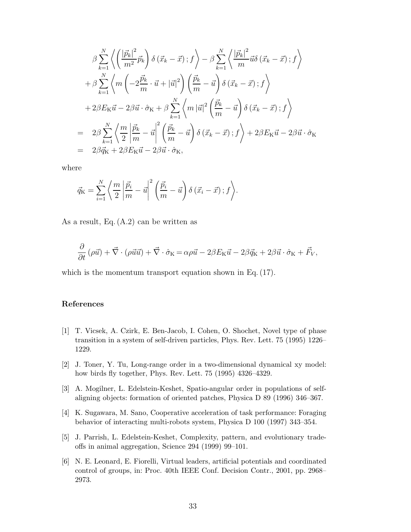$$
\beta \sum_{k=1}^{N} \left\langle \left( \frac{|\vec{p}_k|^2}{m^2} \vec{p}_k \right) \delta \left( \vec{x}_k - \vec{x} \right); f \right\rangle - \beta \sum_{k=1}^{N} \left\langle \frac{|\vec{p}_k|^2}{m} \vec{u} \delta \left( \vec{x}_k - \vec{x} \right); f \right\rangle \n+ \beta \sum_{k=1}^{N} \left\langle m \left( -2 \frac{\vec{p}_k}{m} \cdot \vec{u} + |\vec{u}|^2 \right) \left( \frac{\vec{p}_k}{m} - \vec{u} \right) \delta \left( \vec{x}_k - \vec{x} \right); f \right\rangle \n+ 2\beta E_K \vec{u} - 2\beta \vec{u} \cdot \hat{\sigma}_K + \beta \sum_{k=1}^{N} \left\langle m |\vec{u}|^2 \left( \frac{\vec{p}_k}{m} - \vec{u} \right) \delta \left( \vec{x}_k - \vec{x} \right); f \right\rangle \n= 2\beta \sum_{k=1}^{N} \left\langle \frac{m}{2} \left| \frac{\vec{p}_k}{m} - \vec{u} \right|^2 \left( \frac{\vec{p}_k}{m} - \vec{u} \right) \delta \left( \vec{x}_k - \vec{x} \right); f \right\rangle + 2\beta E_K \vec{u} - 2\beta \vec{u} \cdot \hat{\sigma}_K \n= 2\beta \vec{q}_K + 2\beta E_K \vec{u} - 2\beta \vec{u} \cdot \hat{\sigma}_K,
$$

where

$$
\vec{q}_{\rm K} = \sum_{i=1}^N \left\langle \frac{m}{2} \left| \frac{\vec{p}_i}{m} - \vec{u} \right|^2 \left( \frac{\vec{p}_i}{m} - \vec{u} \right) \delta \left( \vec{x}_i - \vec{x} \right); f \right\rangle.
$$

As a result, Eq. (A.2) can be written as

$$
\frac{\partial}{\partial t}(\rho \vec{u}) + \vec{\nabla} \cdot (\rho \vec{u} \vec{u}) + \vec{\nabla} \cdot \hat{\sigma}_{\mathcal{K}} = \alpha \rho \vec{u} - 2\beta E_{\mathcal{K}} \vec{u} - 2\beta \vec{q}_{\mathcal{K}} + 2\beta \vec{u} \cdot \hat{\sigma}_{\mathcal{K}} + \vec{F}_{V},
$$

which is the momentum transport equation shown in Eq.  $(17)$ .

## References

- [1] T. Vicsek, A. Czirk, E. Ben-Jacob, I. Cohen, O. Shochet, Novel type of phase transition in a system of self-driven particles, Phys. Rev. Lett. 75 (1995) 1226– 1229.
- [2] J. Toner, Y. Tu, Long-range order in a two-dimensional dynamical xy model: how birds fly together, Phys. Rev. Lett. 75 (1995) 4326–4329.
- [3] A. Mogilner, L. Edelstein-Keshet, Spatio-angular order in populations of selfaligning objects: formation of oriented patches, Physica D 89 (1996) 346–367.
- [4] K. Sugawara, M. Sano, Cooperative acceleration of task performance: Foraging behavior of interacting multi-robots system, Physica D 100 (1997) 343–354.
- [5] J. Parrish, L. Edelstein-Keshet, Complexity, pattern, and evolutionary tradeoffs in animal aggregation, Science 294 (1999) 99–101.
- [6] N. E. Leonard, E. Fiorelli, Virtual leaders, artificial potentials and coordinated control of groups, in: Proc. 40th IEEE Conf. Decision Contr., 2001, pp. 2968– 2973.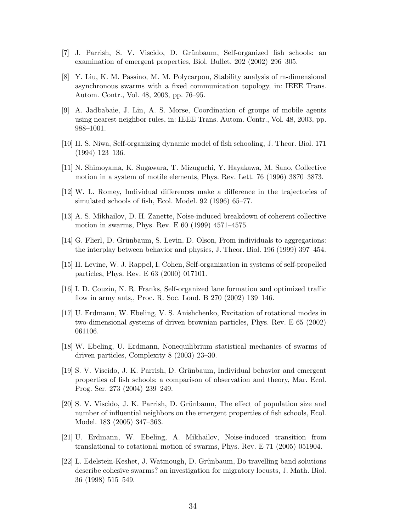- [7] J. Parrish, S. V. Viscido, D. Grünbaum, Self-organized fish schools: an examination of emergent properties, Biol. Bullet. 202 (2002) 296–305.
- [8] Y. Liu, K. M. Passino, M. M. Polycarpou, Stability analysis of m-dimensional asynchronous swarms with a fixed communication topology, in: IEEE Trans. Autom. Contr., Vol. 48, 2003, pp. 76–95.
- [9] A. Jadbabaie, J. Lin, A. S. Morse, Coordination of groups of mobile agents using nearest neighbor rules, in: IEEE Trans. Autom. Contr., Vol. 48, 2003, pp. 988–1001.
- [10] H. S. Niwa, Self-organizing dynamic model of fish schooling, J. Theor. Biol. 171 (1994) 123–136.
- [11] N. Shimoyama, K. Sugawara, T. Mizuguchi, Y. Hayakawa, M. Sano, Collective motion in a system of motile elements, Phys. Rev. Lett. 76 (1996) 3870–3873.
- [12] W. L. Romey, Individual differences make a difference in the trajectories of simulated schools of fish, Ecol. Model. 92 (1996) 65–77.
- [13] A. S. Mikhailov, D. H. Zanette, Noise-induced breakdown of coherent collective motion in swarms, Phys. Rev. E 60 (1999) 4571–4575.
- [14] G. Flierl, D. Grünbaum, S. Levin, D. Olson, From individuals to aggregations: the interplay between behavior and physics, J. Theor. Biol. 196 (1999) 397–454.
- [15] H. Levine, W. J. Rappel, I. Cohen, Self-organization in systems of self-propelled particles, Phys. Rev. E 63 (2000) 017101.
- [16] I. D. Couzin, N. R. Franks, Self-organized lane formation and optimized traffic flow in army ants,, Proc. R. Soc. Lond. B 270 (2002) 139–146.
- [17] U. Erdmann, W. Ebeling, V. S. Anishchenko, Excitation of rotational modes in two-dimensional systems of driven brownian particles, Phys. Rev. E 65 (2002) 061106.
- [18] W. Ebeling, U. Erdmann, Nonequilibrium statistical mechanics of swarms of driven particles, Complexity 8 (2003) 23–30.
- [19] S. V. Viscido, J. K. Parrish, D. Grünbaum, Individual behavior and emergent properties of fish schools: a comparison of observation and theory, Mar. Ecol. Prog. Ser. 273 (2004) 239–249.
- [20] S. V. Viscido, J. K. Parrish, D. Grünbaum, The effect of population size and number of influential neighbors on the emergent properties of fish schools, Ecol. Model. 183 (2005) 347–363.
- [21] U. Erdmann, W. Ebeling, A. Mikhailov, Noise-induced transition from translational to rotational motion of swarms, Phys. Rev. E 71 (2005) 051904.
- [22] L. Edelstein-Keshet, J. Watmough, D. Grünbaum, Do travelling band solutions describe cohesive swarms? an investigation for migratory locusts, J. Math. Biol. 36 (1998) 515–549.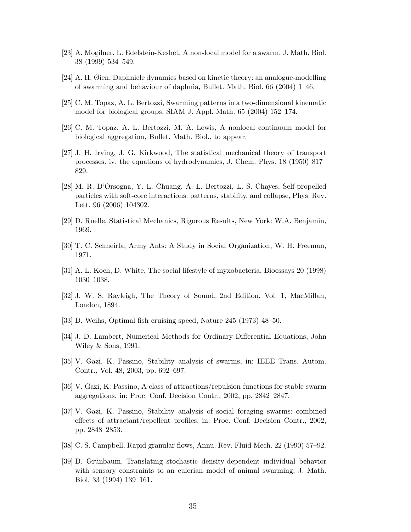- [23] A. Mogilner, L. Edelstein-Keshet, A non-local model for a swarm, J. Math. Biol. 38 (1999) 534–549.
- [24] A. H. Øien, Daphnicle dynamics based on kinetic theory: an analogue-modelling of swarming and behaviour of daphnia, Bullet. Math. Biol. 66 (2004) 1–46.
- [25] C. M. Topaz, A. L. Bertozzi, Swarming patterns in a two-dimensional kinematic model for biological groups, SIAM J. Appl. Math. 65 (2004) 152–174.
- [26] C. M. Topaz, A. L. Bertozzi, M. A. Lewis, A nonlocal continuum model for biological aggregation, Bullet. Math. Biol., to appear.
- [27] J. H. Irving, J. G. Kirkwood, The statistical mechanical theory of transport processes. iv. the equations of hydrodynamics, J. Chem. Phys. 18 (1950) 817– 829.
- [28] M. R. D'Orsogna, Y. L. Chuang, A. L. Bertozzi, L. S. Chayes, Self-propelled particles with soft-core interactions: patterns, stability, and collapse, Phys. Rev. Lett. 96 (2006) 104302.
- [29] D. Ruelle, Statistical Mechanics, Rigorous Results, New York: W.A. Benjamin, 1969.
- [30] T. C. Schneirla, Army Ants: A Study in Social Organization, W. H. Freeman, 1971.
- [31] A. L. Koch, D. White, The social lifestyle of myxobacteria, Bioessays 20 (1998) 1030–1038.
- [32] J. W. S. Rayleigh, The Theory of Sound, 2nd Edition, Vol. 1, MacMillan, London, 1894.
- [33] D. Weihs, Optimal fish cruising speed, Nature 245 (1973) 48–50.
- [34] J. D. Lambert, Numerical Methods for Ordinary Differential Equations, John Wiley & Sons, 1991.
- [35] V. Gazi, K. Passino, Stability analysis of swarms, in: IEEE Trans. Autom. Contr., Vol. 48, 2003, pp. 692–697.
- [36] V. Gazi, K. Passino, A class of attractions/repulsion functions for stable swarm aggregations, in: Proc. Conf. Decision Contr., 2002, pp. 2842–2847.
- [37] V. Gazi, K. Passino, Stability analysis of social foraging swarms: combined effects of attractant/repellent profiles, in: Proc. Conf. Decision Contr., 2002, pp. 2848–2853.
- [38] C. S. Campbell, Rapid granular flows, Annu. Rev. Fluid Mech. 22 (1990) 57–92.
- [39] D. Grünbaum, Translating stochastic density-dependent individual behavior with sensory constraints to an eulerian model of animal swarming, J. Math. Biol. 33 (1994) 139–161.